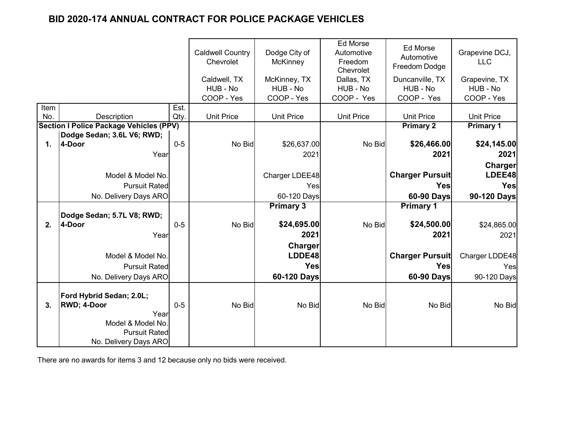|             |                                                | <b>Caldwell Country</b><br>Chevrolet<br>Caldwell, TX | Dodge City of<br><b>McKinney</b><br>McKinney, TX | <b>Ed Morse</b><br>Automotive<br>Freedom<br>Chevrolet<br>Dallas, TX | Ed Morse<br>Automotive<br>Freedom Dodge<br>Duncanville, TX | Grapevine DCJ,<br><b>LLC</b><br>Grapevine, TX |                   |
|-------------|------------------------------------------------|------------------------------------------------------|--------------------------------------------------|---------------------------------------------------------------------|------------------------------------------------------------|-----------------------------------------------|-------------------|
|             |                                                |                                                      | HUB - No                                         | HUB - No                                                            | HUB - No                                                   | HUB - No                                      | HUB - No          |
|             |                                                |                                                      | COOP - Yes                                       | COOP - Yes                                                          | COOP - Yes                                                 | COOP - Yes                                    | COOP - Yes        |
| Item<br>No. | <b>Description</b>                             | Est.<br>Qty.                                         | <b>Unit Price</b>                                | <b>Unit Price</b>                                                   | <b>Unit Price</b>                                          | <b>Unit Price</b>                             | <b>Unit Price</b> |
|             | <b>Section I Police Package Vehicles (PPV)</b> |                                                      |                                                  |                                                                     |                                                            | <b>Primary 2</b>                              | <b>Primary 1</b>  |
|             | Dodge Sedan; 3.6L V6; RWD;                     |                                                      |                                                  |                                                                     |                                                            |                                               |                   |
| 1.          | 4-Door                                         | $0 - 5$                                              | No Bid                                           | \$26,637.00                                                         | No Bid                                                     | \$26,466.00                                   | \$24,145.00       |
|             | Year                                           |                                                      |                                                  | 2021                                                                |                                                            | 2021                                          | 2021              |
|             |                                                |                                                      |                                                  |                                                                     |                                                            |                                               | Charger           |
|             | Model & Model No.                              |                                                      |                                                  | Charger LDEE48                                                      |                                                            | <b>Charger Pursuit</b>                        | LDEE48            |
|             | <b>Pursuit Rated</b>                           |                                                      |                                                  | Yes                                                                 |                                                            | Yes                                           | <b>Yes</b>        |
|             | No. Delivery Days ARO                          |                                                      |                                                  | 60-120 Days                                                         |                                                            | 60-90 Days                                    | 90-120 Days       |
|             |                                                |                                                      |                                                  | <b>Primary 3</b>                                                    |                                                            | <b>Primary 1</b>                              |                   |
|             | Dodge Sedan; 5.7L V8; RWD;                     |                                                      |                                                  |                                                                     |                                                            |                                               |                   |
| 2.          | 4-Door                                         | $0 - 5$                                              | No Bid                                           | \$24,695.00                                                         | No Bid                                                     | \$24,500.00                                   | \$24,865.00       |
|             | Year                                           |                                                      |                                                  | 2021                                                                |                                                            | 2021                                          | 2021              |
|             |                                                |                                                      |                                                  | Charger                                                             |                                                            |                                               |                   |
|             | Model & Model No.                              |                                                      |                                                  | LDDE48                                                              |                                                            | <b>Charger Pursuit</b>                        | Charger LDDE48    |
|             | <b>Pursuit Rated</b>                           |                                                      |                                                  | <b>Yes</b>                                                          |                                                            | <b>Yes</b>                                    | Yes               |
|             | No. Delivery Days ARO                          |                                                      |                                                  | 60-120 Days                                                         |                                                            | 60-90 Days                                    | 90-120 Days       |
|             | Ford Hybrid Sedan; 2.0L;                       |                                                      |                                                  |                                                                     |                                                            |                                               |                   |
| 3.          | <b>RWD; 4-Door</b>                             | $0 - 5$                                              | No Bid                                           | No Bid                                                              | No Bid                                                     | No Bid                                        | No Bid            |
|             | Year                                           |                                                      |                                                  |                                                                     |                                                            |                                               |                   |
|             | Model & Model No.                              |                                                      |                                                  |                                                                     |                                                            |                                               |                   |
|             | <b>Pursuit Rated</b>                           |                                                      |                                                  |                                                                     |                                                            |                                               |                   |
|             | No. Delivery Days ARO                          |                                                      |                                                  |                                                                     |                                                            |                                               |                   |

There are no awards for items 3 and 12 because only no bids were received.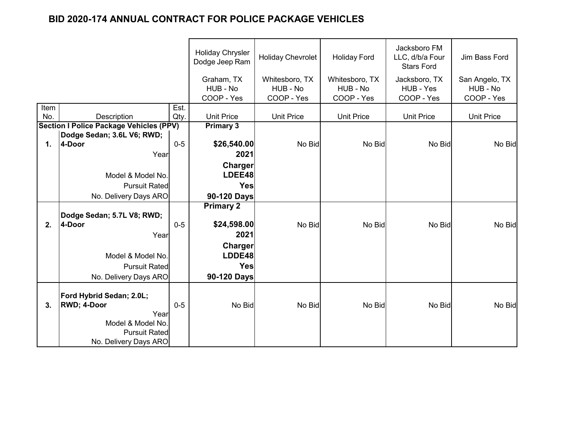|      |                                                |         | <b>Holiday Chrysler</b><br>Dodge Jeep Ram | <b>Holiday Chevrolet</b> | <b>Holiday Ford</b>    | Jacksboro FM<br>LLC, d/b/a Four<br><b>Stars Ford</b> | Jim Bass Ford          |
|------|------------------------------------------------|---------|-------------------------------------------|--------------------------|------------------------|------------------------------------------------------|------------------------|
|      |                                                |         | Graham, TX                                | Whitesboro, TX           | Whitesboro, TX         | Jacksboro, TX                                        | San Angelo, TX         |
|      |                                                |         | HUB - No<br>COOP - Yes                    | HUB - No<br>COOP - Yes   | HUB - No<br>COOP - Yes | HUB - Yes<br>COOP - Yes                              | HUB - No<br>COOP - Yes |
| Item |                                                | Est.    |                                           |                          |                        |                                                      |                        |
| No.  | Description                                    | Qty.    | <b>Unit Price</b>                         | <b>Unit Price</b>        | <b>Unit Price</b>      | <b>Unit Price</b>                                    | <b>Unit Price</b>      |
|      | <b>Section I Police Package Vehicles (PPV)</b> |         | <b>Primary 3</b>                          |                          |                        |                                                      |                        |
|      | Dodge Sedan; 3.6L V6; RWD;                     |         |                                           |                          |                        |                                                      |                        |
| 1.   | 4-Door                                         | $0 - 5$ | \$26,540.00                               | No Bid                   | No Bid                 | No Bid                                               | No Bid                 |
|      | Year                                           |         | 2021                                      |                          |                        |                                                      |                        |
|      |                                                |         | Charger                                   |                          |                        |                                                      |                        |
|      | Model & Model No.                              |         | LDEE48                                    |                          |                        |                                                      |                        |
|      | <b>Pursuit Rated</b>                           |         | Yes                                       |                          |                        |                                                      |                        |
|      | No. Delivery Days ARO                          |         | 90-120 Days                               |                          |                        |                                                      |                        |
|      |                                                |         | <b>Primary 2</b>                          |                          |                        |                                                      |                        |
|      | Dodge Sedan; 5.7L V8; RWD;                     |         |                                           |                          |                        |                                                      |                        |
| 2.   | 4-Door                                         | $0-5$   | \$24,598.00                               | No Bid                   | No Bid                 | No Bid                                               | No Bid                 |
|      | Year                                           |         | 2021                                      |                          |                        |                                                      |                        |
|      |                                                |         | Charger                                   |                          |                        |                                                      |                        |
|      | Model & Model No.                              |         | LDDE48                                    |                          |                        |                                                      |                        |
|      | <b>Pursuit Rated</b>                           |         | <b>Yes</b>                                |                          |                        |                                                      |                        |
|      | No. Delivery Days ARO                          |         | 90-120 Days                               |                          |                        |                                                      |                        |
|      |                                                |         |                                           |                          |                        |                                                      |                        |
|      | Ford Hybrid Sedan; 2.0L;                       |         |                                           |                          |                        |                                                      |                        |
| 3.   | <b>RWD; 4-Door</b><br>Year                     | $0 - 5$ | No Bid                                    | No Bid                   | No Bid                 | No Bid                                               | No Bid                 |
|      | Model & Model No.                              |         |                                           |                          |                        |                                                      |                        |
|      | <b>Pursuit Rated</b>                           |         |                                           |                          |                        |                                                      |                        |
|      | No. Delivery Days ARO                          |         |                                           |                          |                        |                                                      |                        |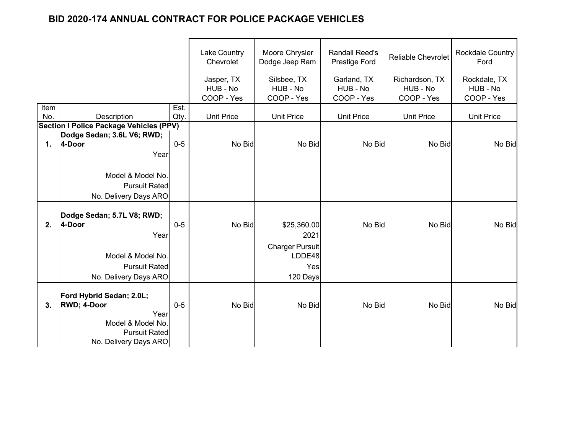|             |                                                |              | Lake Country<br>Chevrolet<br>Jasper, TX | Moore Chrysler<br>Dodge Jeep Ram<br>Silsbee, TX | <b>Randall Reed's</b><br>Prestige Ford<br>Garland, TX | <b>Reliable Chevrolet</b><br>Richardson, TX | <b>Rockdale Country</b><br>Ford<br>Rockdale, TX |
|-------------|------------------------------------------------|--------------|-----------------------------------------|-------------------------------------------------|-------------------------------------------------------|---------------------------------------------|-------------------------------------------------|
|             |                                                |              | HUB - No                                | HUB - No                                        | HUB - No                                              | HUB - No                                    | HUB - No                                        |
|             |                                                |              | COOP - Yes                              | COOP - Yes                                      | COOP - Yes                                            | COOP - Yes                                  | COOP - Yes                                      |
| Item<br>No. | <b>Description</b>                             | Est.<br>Qty. | <b>Unit Price</b>                       | <b>Unit Price</b>                               | <b>Unit Price</b>                                     | <b>Unit Price</b>                           | <b>Unit Price</b>                               |
|             | <b>Section I Police Package Vehicles (PPV)</b> |              |                                         |                                                 |                                                       |                                             |                                                 |
|             | Dodge Sedan; 3.6L V6; RWD;                     |              |                                         |                                                 |                                                       |                                             |                                                 |
| 1.          | 4-Door                                         | $0 - 5$      | No Bid                                  | No Bid                                          | No Bid                                                | No Bid                                      | No Bid                                          |
|             | Year                                           |              |                                         |                                                 |                                                       |                                             |                                                 |
|             |                                                |              |                                         |                                                 |                                                       |                                             |                                                 |
|             | Model & Model No.                              |              |                                         |                                                 |                                                       |                                             |                                                 |
|             | <b>Pursuit Rated</b>                           |              |                                         |                                                 |                                                       |                                             |                                                 |
|             | No. Delivery Days ARO                          |              |                                         |                                                 |                                                       |                                             |                                                 |
|             | Dodge Sedan; 5.7L V8; RWD;                     |              |                                         |                                                 |                                                       |                                             |                                                 |
| 2.          | 4-Door                                         | $0-5$        | No Bid                                  | \$25,360.00                                     | No Bid                                                | No Bid                                      | No Bid                                          |
|             | Year                                           |              |                                         | 2021                                            |                                                       |                                             |                                                 |
|             |                                                |              |                                         | <b>Charger Pursuit</b>                          |                                                       |                                             |                                                 |
|             | Model & Model No.                              |              |                                         | LDDE48                                          |                                                       |                                             |                                                 |
|             | <b>Pursuit Ratedl</b>                          |              |                                         | Yes                                             |                                                       |                                             |                                                 |
|             | No. Delivery Days ARO                          |              |                                         | 120 Days                                        |                                                       |                                             |                                                 |
|             |                                                |              |                                         |                                                 |                                                       |                                             |                                                 |
|             | Ford Hybrid Sedan; 2.0L;                       | $0 - 5$      |                                         |                                                 |                                                       |                                             |                                                 |
| 3.          | <b>RWD; 4-Door</b><br>Year                     |              | No Bid                                  | No Bid                                          | No Bid                                                | No Bid                                      | No Bid                                          |
|             | Model & Model No.                              |              |                                         |                                                 |                                                       |                                             |                                                 |
|             | <b>Pursuit Rated</b>                           |              |                                         |                                                 |                                                       |                                             |                                                 |
|             | No. Delivery Days ARO                          |              |                                         |                                                 |                                                       |                                             |                                                 |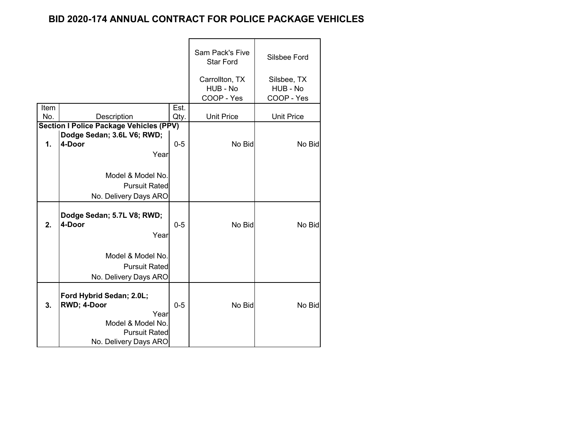|      |                                                                                                                       |         | Sam Pack's Five<br><b>Star Ford</b>      | <b>Silsbee Ford</b>                   |
|------|-----------------------------------------------------------------------------------------------------------------------|---------|------------------------------------------|---------------------------------------|
|      |                                                                                                                       |         | Carrollton, TX<br>HUB - No<br>COOP - Yes | Silsbee, TX<br>HUB - No<br>COOP - Yes |
| Item |                                                                                                                       | Est.    |                                          |                                       |
| No.  | Description                                                                                                           | Qty.    | <b>Unit Price</b>                        | <b>Unit Price</b>                     |
|      | <b>Section I Police Package Vehicles (PPV)</b>                                                                        |         |                                          |                                       |
| 1.   | Dodge Sedan; 3.6L V6; RWD;<br>4-Door                                                                                  | $0 - 5$ | No Bid                                   | No Bid                                |
|      |                                                                                                                       |         |                                          |                                       |
|      | Year                                                                                                                  |         |                                          |                                       |
|      |                                                                                                                       |         |                                          |                                       |
|      | Model & Model No.                                                                                                     |         |                                          |                                       |
|      | <b>Pursuit Rated</b>                                                                                                  |         |                                          |                                       |
|      | No. Delivery Days ARO                                                                                                 |         |                                          |                                       |
| 2.   | Dodge Sedan; 5.7L V8; RWD;<br>4-Door<br>Year                                                                          | $0 - 5$ | No Bid                                   | No Bid                                |
|      | Model & Model No.<br><b>Pursuit Rated</b><br>No. Delivery Days ARO                                                    |         |                                          |                                       |
| 3.   | Ford Hybrid Sedan; 2.0L;<br>RWD; 4-Door<br>Year<br>Model & Model No.<br><b>Pursuit Rated</b><br>No. Delivery Days ARO | $0 - 5$ | No Bid                                   | No Bid                                |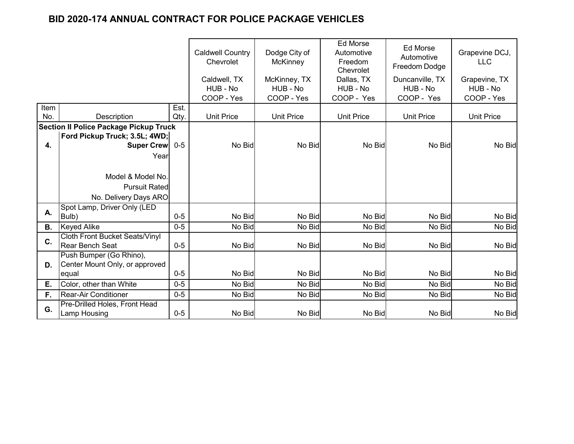|           |                                               |         | <b>Caldwell Country</b><br>Chevrolet   | Dodge City of<br><b>McKinney</b>       | <b>Ed Morse</b><br>Automotive<br>Freedom<br>Chevrolet | <b>Ed Morse</b><br>Automotive<br>Freedom Dodge | Grapevine DCJ,<br><b>LLC</b>            |
|-----------|-----------------------------------------------|---------|----------------------------------------|----------------------------------------|-------------------------------------------------------|------------------------------------------------|-----------------------------------------|
|           |                                               |         | Caldwell, TX<br>HUB - No<br>COOP - Yes | McKinney, TX<br>HUB - No<br>COOP - Yes | Dallas, TX<br>HUB - No<br>COOP - Yes                  | Duncanville, TX<br>HUB - No<br>COOP - Yes      | Grapevine, TX<br>HUB - No<br>COOP - Yes |
| Item      |                                               | Est.    |                                        |                                        |                                                       |                                                |                                         |
| No.       | Description                                   | Qty.    | <b>Unit Price</b>                      | <b>Unit Price</b>                      | <b>Unit Price</b>                                     | <b>Unit Price</b>                              | <b>Unit Price</b>                       |
|           | <b>Section II Police Package Pickup Truck</b> |         |                                        |                                        |                                                       |                                                |                                         |
|           | Ford Pickup Truck; 3.5L; 4WD;                 |         |                                        |                                        |                                                       |                                                |                                         |
| 4.        | Super Crew                                    | $0-5$   | No Bid                                 | No Bid                                 | No Bid                                                | No Bid                                         | No Bid                                  |
|           | Year                                          |         |                                        |                                        |                                                       |                                                |                                         |
|           |                                               |         |                                        |                                        |                                                       |                                                |                                         |
|           | Model & Model No.                             |         |                                        |                                        |                                                       |                                                |                                         |
|           | <b>Pursuit Rated</b>                          |         |                                        |                                        |                                                       |                                                |                                         |
|           | No. Delivery Days ARO                         |         |                                        |                                        |                                                       |                                                |                                         |
| А.        | Spot Lamp, Driver Only (LED                   |         |                                        |                                        |                                                       |                                                |                                         |
|           | Bulb)                                         | $0 - 5$ | No Bid                                 | No Bid                                 | No Bid                                                | No Bid                                         | No Bid                                  |
| <b>B.</b> | <b>Keyed Alike</b>                            | $0-5$   | No Bid                                 | No Bid                                 | No Bid                                                | No Bid                                         | No Bid                                  |
| C.        | <b>Cloth Front Bucket Seats/Vinyl</b>         |         |                                        |                                        |                                                       |                                                |                                         |
|           | <b>Rear Bench Seat</b>                        | $0 - 5$ | No Bid                                 | No Bid                                 | No Bid                                                | No Bid                                         | No Bid                                  |
|           | Push Bumper (Go Rhino),                       |         |                                        |                                        |                                                       |                                                |                                         |
| D.        | Center Mount Only, or approved                |         |                                        |                                        |                                                       |                                                |                                         |
|           | equal                                         | $0 - 5$ | No Bid                                 | No Bid                                 | No Bid                                                | No Bid                                         | No Bid                                  |
| Е.        | Color, other than White                       | $0 - 5$ | No Bid                                 | No Bid                                 | No Bid                                                | No Bid                                         | No Bid                                  |
| F.        | <b>Rear-Air Conditioner</b>                   | $0-5$   | No Bid                                 | No Bid                                 | No Bid                                                | No Bid                                         | No Bid                                  |
| G.        | Pre-Drilled Holes, Front Head<br>Lamp Housing | $0 - 5$ | No Bid                                 | No Bid                                 | No Bid                                                | No Bid                                         | No Bid                                  |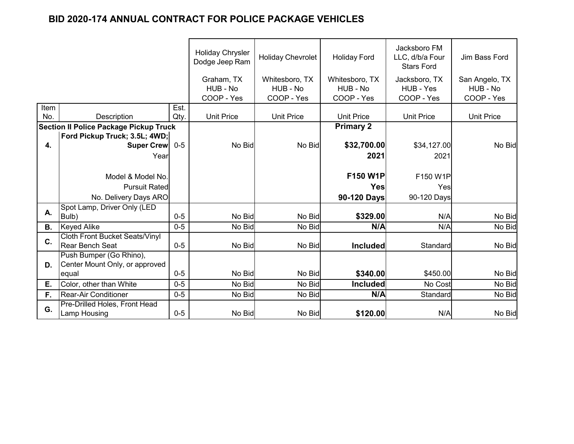|           |                                               |         | <b>Holiday Chrysler</b><br>Dodge Jeep Ram | <b>Holiday Chevrolet</b> | <b>Holiday Ford</b> | Jacksboro FM<br>LLC, d/b/a Four<br><b>Stars Ford</b> | Jim Bass Ford     |
|-----------|-----------------------------------------------|---------|-------------------------------------------|--------------------------|---------------------|------------------------------------------------------|-------------------|
|           |                                               |         | Graham, TX                                | Whitesboro, TX           | Whitesboro, TX      | Jacksboro, TX                                        | San Angelo, TX    |
|           |                                               |         | HUB - No                                  | HUB - No                 | HUB - No            | HUB - Yes                                            | HUB - No          |
|           |                                               |         | COOP - Yes                                | COOP - Yes               | COOP - Yes          | COOP - Yes                                           | COOP - Yes        |
| Item      |                                               | Est.    |                                           |                          |                     |                                                      |                   |
| No.       | <b>Description</b>                            | Qty.    | <b>Unit Price</b>                         | <b>Unit Price</b>        | <b>Unit Price</b>   | <b>Unit Price</b>                                    | <b>Unit Price</b> |
|           | <b>Section II Police Package Pickup Truck</b> |         |                                           |                          | <b>Primary 2</b>    |                                                      |                   |
| 4.        | Ford Pickup Truck; 3.5L; 4WD;<br>Super Crew   | $0-5$   | No Bid                                    | No Bid                   | \$32,700.00         | \$34,127.00                                          | No Bid            |
|           |                                               |         |                                           |                          |                     |                                                      |                   |
|           | Year                                          |         |                                           |                          | 2021                | 2021                                                 |                   |
|           |                                               |         |                                           |                          |                     |                                                      |                   |
|           | Model & Model No.                             |         |                                           |                          | F150 W1P            | F150 W1P                                             |                   |
|           | <b>Pursuit Rated</b>                          |         |                                           |                          | <b>Yes</b>          | Yes                                                  |                   |
|           | No. Delivery Days ARO                         |         |                                           |                          | 90-120 Days         | 90-120 Days                                          |                   |
| Α.        | Spot Lamp, Driver Only (LED                   |         |                                           |                          |                     |                                                      |                   |
|           | Bulb)                                         | $0 - 5$ | No Bid                                    | No Bid                   | \$329.00            | N/A                                                  | No Bid            |
| <b>B.</b> | <b>Keyed Alike</b>                            | $0-5$   | No Bid                                    | No Bid                   | N/A                 | N/A                                                  | No Bid            |
| C.        | <b>Cloth Front Bucket Seats/Vinyl</b>         |         |                                           |                          |                     |                                                      |                   |
|           | <b>Rear Bench Seat</b>                        | $0 - 5$ | No Bid                                    | No Bid                   | <b>Included</b>     | Standard                                             | No Bid            |
|           | Push Bumper (Go Rhino),                       |         |                                           |                          |                     |                                                      |                   |
| D.        | Center Mount Only, or approved                |         |                                           |                          |                     |                                                      |                   |
|           | equal                                         | $0-5$   | No Bid                                    | No Bid                   | \$340.00            | \$450.00                                             | No Bid            |
| Ε.        | Color, other than White                       | $0 - 5$ | No Bid                                    | No Bid                   | <b>Included</b>     | No Cost                                              | No Bid            |
| F.        | <b>Rear-Air Conditioner</b>                   | $0-5$   | No Bid                                    | No Bid                   | N/A                 | Standard                                             | No Bid            |
| G.        | Pre-Drilled Holes, Front Head                 |         |                                           |                          |                     |                                                      |                   |
|           | Lamp Housing                                  | $0 - 5$ | No Bid                                    | No Bid                   | \$120.00            | N/A                                                  | No Bid            |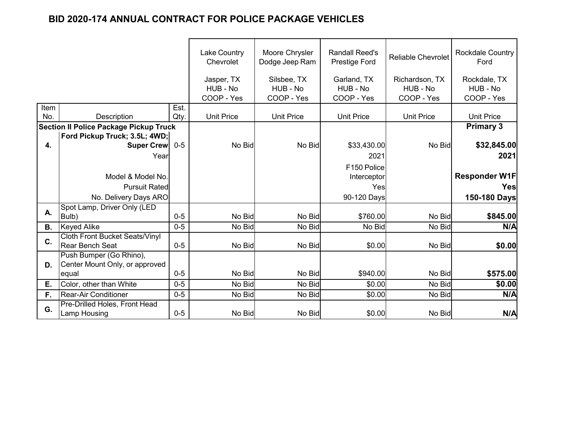|           |                                               |         | <b>Lake Country</b><br>Chevrolet | Moore Chrysler<br>Dodge Jeep Ram | <b>Randall Reed's</b><br>Prestige Ford | <b>Reliable Chevrolet</b> | <b>Rockdale Country</b><br>Ford |
|-----------|-----------------------------------------------|---------|----------------------------------|----------------------------------|----------------------------------------|---------------------------|---------------------------------|
|           |                                               |         | Jasper, TX                       | Silsbee, TX                      | Garland, TX                            | Richardson, TX            | Rockdale, TX                    |
|           |                                               |         | HUB - No                         | HUB - No                         | HUB - No                               | HUB - No                  | HUB - No                        |
|           |                                               |         | COOP - Yes                       | COOP - Yes                       | COOP - Yes                             | COOP - Yes                | COOP - Yes                      |
| Item      |                                               | Est.    |                                  |                                  |                                        |                           |                                 |
| No.       | Description                                   | Qty.    | <b>Unit Price</b>                | <b>Unit Price</b>                | <b>Unit Price</b>                      | <b>Unit Price</b>         | <b>Unit Price</b>               |
|           | <b>Section II Police Package Pickup Truck</b> |         |                                  |                                  |                                        |                           | <b>Primary 3</b>                |
|           | Ford Pickup Truck; 3.5L; 4WD;                 |         |                                  |                                  |                                        |                           |                                 |
| 4.        | <b>Super Crew</b>                             | $0 - 5$ | No Bid                           | No Bid                           | \$33,430.00                            | No Bid                    | \$32,845.00                     |
|           | Year                                          |         |                                  |                                  | 2021                                   |                           | 2021                            |
|           |                                               |         |                                  |                                  | F150 Police                            |                           |                                 |
|           | Model & Model No.                             |         |                                  |                                  | Interceptor                            |                           | <b>Responder W1F</b>            |
|           | <b>Pursuit Rated</b>                          |         |                                  |                                  | Yes                                    |                           | Yesl                            |
|           | No. Delivery Days ARO                         |         |                                  |                                  | 90-120 Days                            |                           | 150-180 Days                    |
|           | Spot Lamp, Driver Only (LED                   |         |                                  |                                  |                                        |                           |                                 |
| Α.        | Bulb)                                         | $0 - 5$ | No Bid                           | No Bid                           | \$760.00                               | No Bid                    | \$845.00                        |
| <b>B.</b> | <b>Keyed Alike</b>                            | $0 - 5$ | No Bid                           | No Bid                           | No Bid                                 | No Bid                    | N/A                             |
|           | <b>Cloth Front Bucket Seats/Vinyl</b>         |         |                                  |                                  |                                        |                           |                                 |
| C.        | <b>Rear Bench Seat</b>                        | $0 - 5$ | No Bid                           | No Bid                           | \$0.00                                 | No Bid                    | \$0.00                          |
|           | Push Bumper (Go Rhino),                       |         |                                  |                                  |                                        |                           |                                 |
| D.        | Center Mount Only, or approved                |         |                                  |                                  |                                        |                           |                                 |
|           | equal                                         | $0 - 5$ | No Bid                           | No Bid                           | \$940.00                               | No Bid                    | \$575.00                        |
| Ε.        | Color, other than White                       | $0 - 5$ | No Bid                           | No Bid                           | \$0.00                                 | No Bid                    | \$0.00                          |
| F.        | <b>Rear-Air Conditioner</b>                   | $0 - 5$ | No Bid                           | No Bid                           | \$0.00                                 | No Bid                    | N/A                             |
|           | Pre-Drilled Holes, Front Head                 |         |                                  |                                  |                                        |                           |                                 |
| G.        | Lamp Housing                                  | $0 - 5$ | No Bid                           | No Bid                           | \$0.00                                 | No Bid                    | N/A                             |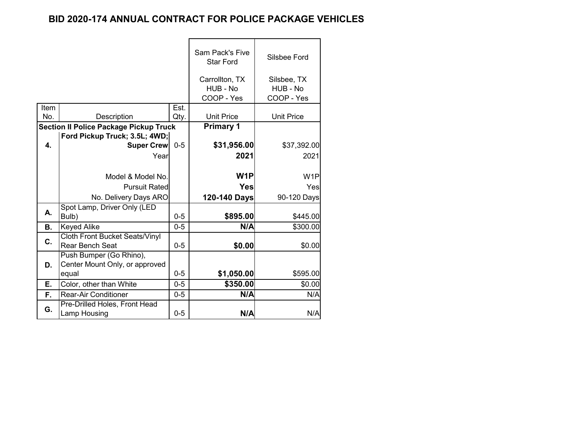|           |                                               |         | <b>Sam Pack's Five</b><br><b>Star Ford</b> | Silsbee Ford      |
|-----------|-----------------------------------------------|---------|--------------------------------------------|-------------------|
|           |                                               |         | Carrollton, TX                             | Silsbee, TX       |
|           |                                               |         | HUB - No                                   | HUB - No          |
|           |                                               |         | COOP - Yes                                 | COOP - Yes        |
| Item      |                                               | Est.    |                                            |                   |
| No.       | Description                                   | Qty.    | <b>Unit Price</b>                          | <b>Unit Price</b> |
|           | <b>Section II Police Package Pickup Truck</b> |         | <b>Primary 1</b>                           |                   |
|           | Ford Pickup Truck; 3.5L; 4WD;                 |         |                                            |                   |
| 4.        | <b>Super Crew</b>                             | $0 - 5$ | \$31,956.00                                | \$37,392.00       |
|           | Year                                          |         | 2021                                       | 2021              |
|           |                                               |         |                                            |                   |
|           | Model & Model No.                             |         | W <sub>1</sub> P                           | W <sub>1</sub> P  |
|           | <b>Pursuit Ratedl</b>                         |         | <b>Yes</b>                                 | Yes               |
|           | No. Delivery Days ARO                         |         | 120-140 Days                               | 90-120 Days       |
|           | Spot Lamp, Driver Only (LED                   |         |                                            |                   |
| А.        | Bulb)                                         | $0 - 5$ | \$895.00                                   | \$445.00          |
| <b>B.</b> | <b>Keyed Alike</b>                            | $0 - 5$ | N/A                                        | \$300.00          |
|           | <b>Cloth Front Bucket Seats/Vinyl</b>         |         |                                            |                   |
| C.        | <b>Rear Bench Seat</b>                        | $0 - 5$ | \$0.00                                     | \$0.00            |
|           | Push Bumper (Go Rhino),                       |         |                                            |                   |
| D.        | Center Mount Only, or approved                |         |                                            |                   |
|           | equal                                         | $0 - 5$ | \$1,050.00                                 | \$595.00          |
| Е.        | Color, other than White                       | $0-5$   | \$350.00                                   | \$0.00            |
| F.        | <b>Rear-Air Conditioner</b>                   | $0 - 5$ | N/A                                        | N/A               |
|           | Pre-Drilled Holes, Front Head                 |         |                                            |                   |
| G.        | Lamp Housing                                  | $0-5$   | N/A                                        | N/A               |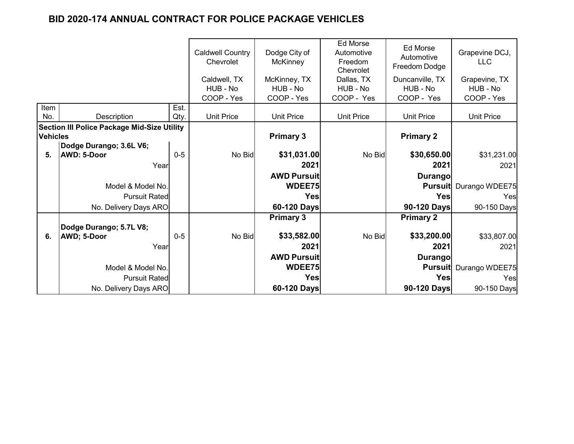|                 |                                                    |              | <b>Caldwell Country</b><br>Chevrolet | Dodge City of<br><b>McKinney</b> | Ed Morse<br>Automotive<br>Freedom<br>Chevrolet | Ed Morse<br>Automotive<br>Freedom Dodge | Grapevine DCJ,<br><b>LLC</b>  |
|-----------------|----------------------------------------------------|--------------|--------------------------------------|----------------------------------|------------------------------------------------|-----------------------------------------|-------------------------------|
|                 |                                                    |              | Caldwell, TX                         | McKinney, TX                     | Dallas, TX                                     | Duncanville, TX                         | Grapevine, TX                 |
|                 |                                                    |              | HUB - No                             | HUB - No                         | HUB - No                                       | HUB - No                                | HUB - No                      |
| Item            |                                                    |              | COOP - Yes                           | COOP - Yes                       | COOP - Yes                                     | COOP - Yes                              | COOP - Yes                    |
| No.             | Description                                        | Est.<br>Qty. | <b>Unit Price</b>                    | <b>Unit Price</b>                | <b>Unit Price</b>                              | <b>Unit Price</b>                       | <b>Unit Price</b>             |
|                 | <b>Section III Police Package Mid-Size Utility</b> |              |                                      |                                  |                                                |                                         |                               |
| <b>Vehicles</b> |                                                    |              |                                      | <b>Primary 3</b>                 |                                                | <b>Primary 2</b>                        |                               |
|                 | Dodge Durango; 3.6L V6;                            |              |                                      |                                  |                                                |                                         |                               |
| 5.              | <b>AWD: 5-Door</b>                                 | $0-5$        | No Bid                               | \$31,031.00                      | No Bid                                         | \$30,650.00                             | \$31,231.00                   |
|                 | Year                                               |              |                                      | 2021                             |                                                | 2021                                    | 2021                          |
|                 |                                                    |              |                                      | <b>AWD Pursuit</b>               |                                                | <b>Durango</b>                          |                               |
|                 | Model & Model No.                                  |              |                                      | WDEE75                           |                                                |                                         | <b>Pursuit</b> Durango WDEE75 |
|                 | <b>Pursuit Rated</b>                               |              |                                      | <b>Yes</b>                       |                                                | Yes                                     | Yes                           |
|                 | No. Delivery Days ARO                              |              |                                      | 60-120 Days                      |                                                | 90-120 Days                             | 90-150 Days                   |
|                 |                                                    |              |                                      | <b>Primary 3</b>                 |                                                | <b>Primary 2</b>                        |                               |
|                 | Dodge Durango; 5.7L V8;                            |              |                                      |                                  |                                                |                                         |                               |
| 6.              | AWD; 5-Door                                        | $0 - 5$      | No Bid                               | \$33,582.00                      | No Bid                                         | \$33,200.00                             | \$33,807.00                   |
|                 | Year                                               |              |                                      | 2021                             |                                                | 2021                                    | 2021                          |
|                 |                                                    |              |                                      | <b>AWD Pursuit</b>               |                                                | <b>Durango</b>                          |                               |
|                 | Model & Model No.                                  |              |                                      | WDEE75                           |                                                |                                         | <b>Pursuit</b> Durango WDEE75 |
|                 | <b>Pursuit Rated</b>                               |              |                                      | Yes                              |                                                | Yes                                     | Yes                           |
|                 | No. Delivery Days ARO                              |              |                                      | 60-120 Days                      |                                                | 90-120 Days                             | 90-150 Days                   |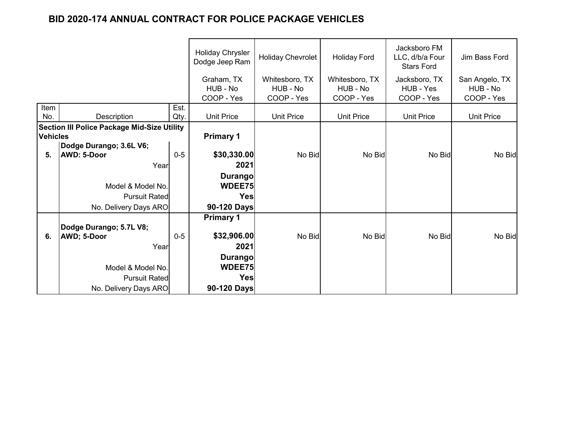|                 |                                                    |         | <b>Holiday Chrysler</b><br>Dodge Jeep Ram | Holiday Chevrolet | <b>Holiday Ford</b> | Jacksboro FM<br>LLC, d/b/a Four<br><b>Stars Ford</b> | Jim Bass Ford     |
|-----------------|----------------------------------------------------|---------|-------------------------------------------|-------------------|---------------------|------------------------------------------------------|-------------------|
|                 |                                                    |         | Graham, TX                                | Whitesboro, TX    | Whitesboro, TX      | Jacksboro, TX                                        | San Angelo, TX    |
|                 |                                                    |         | HUB - No                                  | HUB - No          | HUB - No            | HUB - Yes                                            | HUB - No          |
|                 |                                                    |         | COOP - Yes                                | COOP - Yes        | COOP - Yes          | COOP - Yes                                           | COOP - Yes        |
| Item            |                                                    | Est.    |                                           |                   |                     |                                                      |                   |
| No.             | Description                                        | Qty.    | <b>Unit Price</b>                         | <b>Unit Price</b> | <b>Unit Price</b>   | <b>Unit Price</b>                                    | <b>Unit Price</b> |
|                 | <b>Section III Police Package Mid-Size Utility</b> |         |                                           |                   |                     |                                                      |                   |
| <b>Vehicles</b> |                                                    |         | <b>Primary 1</b>                          |                   |                     |                                                      |                   |
|                 | Dodge Durango; 3.6L V6;                            |         |                                           |                   |                     |                                                      |                   |
| 5.              | <b>AWD: 5-Door</b>                                 | $0 - 5$ | \$30,330.00                               | No Bid            | No Bid              | No Bid                                               | No Bid            |
|                 | Year                                               |         | 2021                                      |                   |                     |                                                      |                   |
|                 |                                                    |         | <b>Durango</b>                            |                   |                     |                                                      |                   |
|                 | Model & Model No.                                  |         | WDEE75                                    |                   |                     |                                                      |                   |
|                 | <b>Pursuit Rated</b>                               |         | Yes                                       |                   |                     |                                                      |                   |
|                 | No. Delivery Days ARO                              |         | 90-120 Days                               |                   |                     |                                                      |                   |
|                 |                                                    |         | <b>Primary 1</b>                          |                   |                     |                                                      |                   |
|                 | Dodge Durango; 5.7L V8;                            |         |                                           |                   |                     |                                                      |                   |
| 6.              | AWD; 5-Door                                        | $0-5$   | \$32,906.00                               | No Bid            | No Bid              | No Bid                                               | No Bid            |
|                 | Year                                               |         | 2021                                      |                   |                     |                                                      |                   |
|                 |                                                    |         | <b>Durango</b>                            |                   |                     |                                                      |                   |
|                 | Model & Model No.                                  |         | WDEE75                                    |                   |                     |                                                      |                   |
|                 | <b>Pursuit Rated</b>                               |         | Yes                                       |                   |                     |                                                      |                   |
|                 |                                                    |         |                                           |                   |                     |                                                      |                   |
|                 | No. Delivery Days ARO                              |         | 90-120 Days                               |                   |                     |                                                      |                   |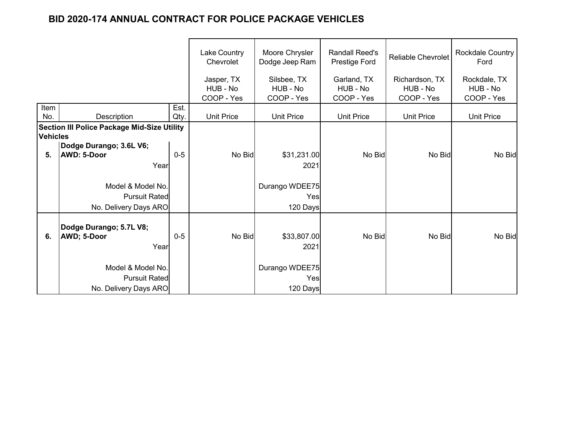|                 |                                                    |         | Lake Country<br>Chevrolet | Moore Chrysler<br>Dodge Jeep Ram | <b>Randall Reed's</b><br>Prestige Ford | <b>Reliable Chevrolet</b> | <b>Rockdale Country</b><br>Ford |
|-----------------|----------------------------------------------------|---------|---------------------------|----------------------------------|----------------------------------------|---------------------------|---------------------------------|
|                 |                                                    |         | Jasper, TX                | Silsbee, TX                      | Garland, TX                            | Richardson, TX            | Rockdale, TX                    |
|                 |                                                    |         | HUB - No<br>COOP - Yes    | HUB - No<br>COOP - Yes           | HUB - No<br>COOP - Yes                 | HUB - No<br>COOP - Yes    | HUB - No<br>COOP - Yes          |
| Item            |                                                    | Est.    |                           |                                  |                                        |                           |                                 |
| No.             | Description                                        | Qty.    | <b>Unit Price</b>         | <b>Unit Price</b>                | <b>Unit Price</b>                      | <b>Unit Price</b>         | <b>Unit Price</b>               |
|                 | <b>Section III Police Package Mid-Size Utility</b> |         |                           |                                  |                                        |                           |                                 |
| <b>Vehicles</b> |                                                    |         |                           |                                  |                                        |                           |                                 |
|                 | Dodge Durango; 3.6L V6;                            |         |                           |                                  |                                        |                           |                                 |
| 5.              | AWD: 5-Door                                        | $0 - 5$ | No Bid                    | \$31,231.00                      | No Bid                                 | No Bid                    | No Bid                          |
|                 | Year                                               |         |                           | 2021                             |                                        |                           |                                 |
|                 | Model & Model No.                                  |         |                           | Durango WDEE75                   |                                        |                           |                                 |
|                 | <b>Pursuit Rated</b>                               |         |                           | Yes                              |                                        |                           |                                 |
|                 | No. Delivery Days ARO                              |         |                           | 120 Days                         |                                        |                           |                                 |
|                 |                                                    |         |                           |                                  |                                        |                           |                                 |
|                 | Dodge Durango; 5.7L V8;                            |         |                           |                                  |                                        |                           |                                 |
| 6.              | <b>AWD; 5-Door</b>                                 | $0-5$   | No Bid                    | \$33,807.00                      | No Bid                                 | No Bid                    | No Bid                          |
|                 | Year                                               |         |                           | 2021                             |                                        |                           |                                 |
|                 |                                                    |         |                           |                                  |                                        |                           |                                 |
|                 | Model & Model No.                                  |         |                           | Durango WDEE75                   |                                        |                           |                                 |
|                 | <b>Pursuit Rated</b>                               |         |                           | Yes                              |                                        |                           |                                 |
|                 | No. Delivery Days ARO                              |         |                           | 120 Days                         |                                        |                           |                                 |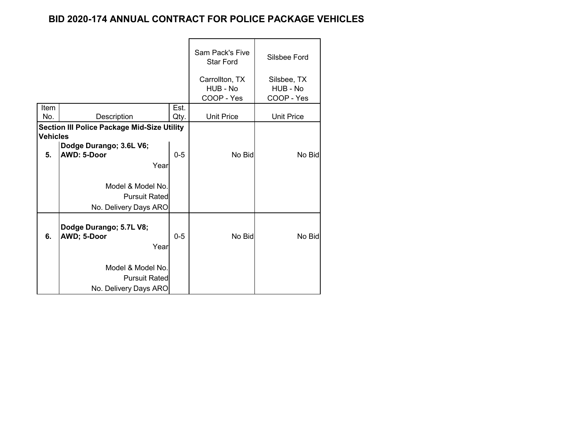|                 |                                                                    |              | <b>Sam Pack's Five</b><br><b>Star Ford</b><br>Carrollton, TX<br>HUB - No | Silsbee Ford<br>Silsbee, TX<br>HUB - No |
|-----------------|--------------------------------------------------------------------|--------------|--------------------------------------------------------------------------|-----------------------------------------|
|                 |                                                                    |              | COOP - Yes                                                               | COOP - Yes                              |
| Item<br>No.     | Description                                                        | Est.<br>Qty. | <b>Unit Price</b>                                                        | <b>Unit Price</b>                       |
| <b>Vehicles</b> | <b>Section III Police Package Mid-Size Utility</b>                 |              |                                                                          |                                         |
| 5.              | Dodge Durango; 3.6L V6;<br>AWD: 5-Door<br>Year                     | $0 - 5$      | No Bid                                                                   | No Bid                                  |
|                 | Model & Model No.<br><b>Pursuit Rated</b><br>No. Delivery Days ARO |              |                                                                          |                                         |
| 6.              | Dodge Durango; 5.7L V8;<br>AWD; 5-Door<br>Year                     | $0 - 5$      | No Bid                                                                   | No Bid                                  |
|                 | Model & Model No.<br><b>Pursuit Rated</b><br>No. Delivery Days ARO |              |                                                                          |                                         |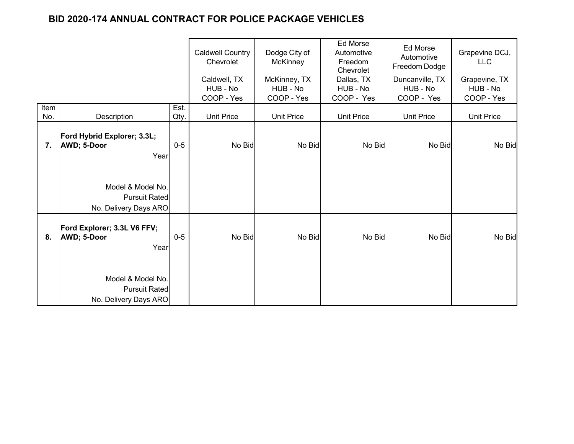|             |                                                                    |              | <b>Caldwell Country</b><br>Chevrolet<br>Caldwell, TX<br>HUB - No | Dodge City of<br>McKinney<br>McKinney, TX<br>HUB - No | <b>Ed Morse</b><br>Automotive<br>Freedom<br>Chevrolet<br>Dallas, TX<br>HUB - No | Ed Morse<br>Automotive<br>Freedom Dodge<br>Duncanville, TX<br>HUB - No | Grapevine DCJ,<br><b>LLC</b><br>Grapevine, TX<br>HUB - No |
|-------------|--------------------------------------------------------------------|--------------|------------------------------------------------------------------|-------------------------------------------------------|---------------------------------------------------------------------------------|------------------------------------------------------------------------|-----------------------------------------------------------|
|             |                                                                    |              | COOP - Yes                                                       | COOP - Yes                                            | COOP - Yes                                                                      | COOP - Yes                                                             | COOP - Yes                                                |
| Item<br>No. | Description                                                        | Est.<br>Qty. | <b>Unit Price</b>                                                | <b>Unit Price</b>                                     | <b>Unit Price</b>                                                               | <b>Unit Price</b>                                                      | <b>Unit Price</b>                                         |
| 7.          | Ford Hybrid Explorer; 3.3L;<br>AWD; 5-Door<br>Year                 | $0-5$        | No Bid                                                           | No Bid                                                | No Bid                                                                          | No Bid                                                                 | No Bid                                                    |
|             | Model & Model No.<br><b>Pursuit Rated</b><br>No. Delivery Days ARO |              |                                                                  |                                                       |                                                                                 |                                                                        |                                                           |
| 8.          | Ford Explorer; 3.3L V6 FFV;<br>AWD; 5-Door<br>Year                 | $0-5$        | No Bid                                                           | No Bid                                                | No Bid                                                                          | No Bid                                                                 | No Bid                                                    |
|             | Model & Model No.<br><b>Pursuit Rated</b><br>No. Delivery Days ARO |              |                                                                  |                                                       |                                                                                 |                                                                        |                                                           |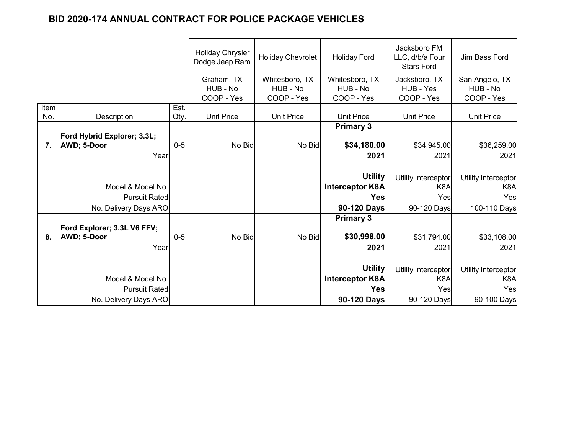|      |                             |       | <b>Holiday Chrysler</b><br>Dodge Jeep Ram | <b>Holiday Chevrolet</b> | <b>Holiday Ford</b>    | Jacksboro FM<br>LLC, d/b/a Four<br><b>Stars Ford</b> | Jim Bass Ford       |
|------|-----------------------------|-------|-------------------------------------------|--------------------------|------------------------|------------------------------------------------------|---------------------|
|      |                             |       | Graham, TX                                | Whitesboro, TX           | Whitesboro, TX         | Jacksboro, TX                                        | San Angelo, TX      |
|      |                             |       | HUB - No                                  | HUB - No                 | HUB - No               | HUB - Yes                                            | HUB - No            |
|      |                             |       | COOP - Yes                                | COOP - Yes               | COOP - Yes             | COOP - Yes                                           | COOP - Yes          |
| Item |                             | Est.  |                                           |                          |                        |                                                      |                     |
| No.  | Description                 | Qty.  | <b>Unit Price</b>                         | <b>Unit Price</b>        | <b>Unit Price</b>      | <b>Unit Price</b>                                    | <b>Unit Price</b>   |
|      |                             |       |                                           |                          | <b>Primary 3</b>       |                                                      |                     |
|      | Ford Hybrid Explorer; 3.3L; |       |                                           |                          |                        |                                                      |                     |
| 7.   | AWD; 5-Door                 | $0-5$ | No Bid                                    | No Bid                   | \$34,180.00            | \$34,945.00                                          | \$36,259.00         |
|      | Year                        |       |                                           |                          | 2021                   | 2021                                                 | 2021                |
|      |                             |       |                                           |                          |                        |                                                      |                     |
|      |                             |       |                                           |                          | <b>Utility</b>         | Utility Interceptor                                  | Utility Interceptor |
|      | Model & Model No.           |       |                                           |                          | <b>Interceptor K8A</b> | K <sub>8</sub> A                                     | K8A                 |
|      | <b>Pursuit Rated</b>        |       |                                           |                          | <b>Yes</b>             | Yes                                                  | Yes                 |
|      | No. Delivery Days ARO       |       |                                           |                          | 90-120 Days            | 90-120 Days                                          | 100-110 Days        |
|      |                             |       |                                           |                          | <b>Primary 3</b>       |                                                      |                     |
|      | Ford Explorer; 3.3L V6 FFV; |       |                                           |                          |                        |                                                      |                     |
| 8.   | AWD; 5-Door                 | $0-5$ | No Bid                                    | No Bid                   | \$30,998.00            | \$31,794.00                                          | \$33,108.00         |
|      | Year                        |       |                                           |                          | 2021                   | 2021                                                 | 2021                |
|      |                             |       |                                           |                          |                        |                                                      |                     |
|      |                             |       |                                           |                          | <b>Utility</b>         | Utility Interceptor                                  | Utility Interceptor |
|      | Model & Model No.           |       |                                           |                          | <b>Interceptor K8A</b> | K <sub>8</sub> A                                     | K <sub>8</sub> A    |
|      | <b>Pursuit Rated</b>        |       |                                           |                          | <b>Yes</b>             | Yes                                                  | Yes                 |
|      | No. Delivery Days ARO       |       |                                           |                          | 90-120 Days            | 90-120 Days                                          | 90-100 Days         |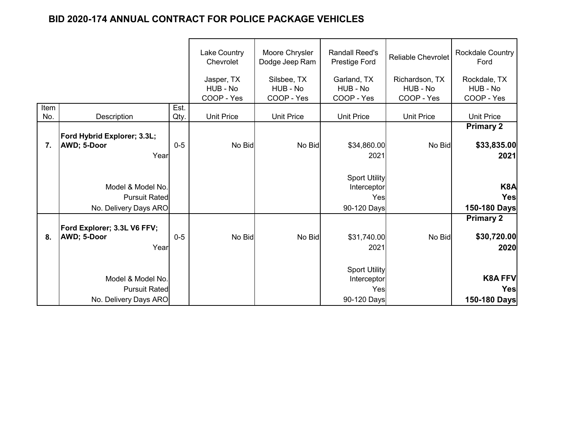|             |                                                                    |              | Lake Country<br>Chevrolet            | Moore Chrysler<br>Dodge Jeep Ram      | <b>Randall Reed's</b><br><b>Prestige Ford</b>             | <b>Reliable Chevrolet</b>                | Rockdale Country<br>Ford                |
|-------------|--------------------------------------------------------------------|--------------|--------------------------------------|---------------------------------------|-----------------------------------------------------------|------------------------------------------|-----------------------------------------|
|             |                                                                    |              | Jasper, TX<br>HUB - No<br>COOP - Yes | Silsbee, TX<br>HUB - No<br>COOP - Yes | Garland, TX<br>HUB - No<br>COOP - Yes                     | Richardson, TX<br>HUB - No<br>COOP - Yes | Rockdale, TX<br>HUB - No<br>COOP - Yes  |
| Item<br>No. | Description                                                        | Est.<br>Qty. | <b>Unit Price</b>                    | <b>Unit Price</b>                     | <b>Unit Price</b>                                         | <b>Unit Price</b>                        | <b>Unit Price</b>                       |
|             |                                                                    |              |                                      |                                       |                                                           |                                          | <b>Primary 2</b>                        |
| 7.          | Ford Hybrid Explorer; 3.3L;<br><b>AWD; 5-Door</b><br>Year          | $0-5$        | No Bid                               | No Bid                                | \$34,860.00<br>2021                                       | No Bid                                   | \$33,835.00<br>2021                     |
|             | Model & Model No.<br><b>Pursuit Rated</b><br>No. Delivery Days ARO |              |                                      |                                       | <b>Sport Utility</b><br>Interceptor<br>Yes<br>90-120 Days |                                          | K8A<br>Yes<br>150-180 Days              |
| 8.          | Ford Explorer; 3.3L V6 FFV;<br><b>AWD</b> ; 5-Door<br>Year         | $0-5$        | No Bid                               | No Bid                                | \$31,740.00<br>2021                                       | No Bid                                   | <b>Primary 2</b><br>\$30,720.00<br>2020 |
|             | Model & Model No.<br><b>Pursuit Rated</b><br>No. Delivery Days ARO |              |                                      |                                       | <b>Sport Utility</b><br>Interceptor<br>Yes<br>90-120 Days |                                          | <b>K8A FFV</b><br>Yes<br>150-180 Days   |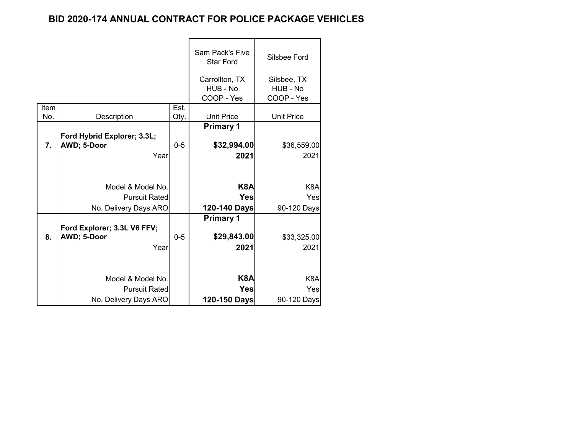|                  |                                                                    |         | Sam Pack's Five<br><b>Star Ford</b>      | Silsbee Ford                           |
|------------------|--------------------------------------------------------------------|---------|------------------------------------------|----------------------------------------|
|                  |                                                                    |         | Carrollton, TX<br>HUB - No<br>COOP - Yes | Silsbee, TX<br>HUB - No<br>COOP - Yes  |
| Item             |                                                                    | Est.    |                                          |                                        |
| No.              | Description                                                        | Qty.    | <b>Unit Price</b>                        | <b>Unit Price</b>                      |
| $\overline{7}$ . | Ford Hybrid Explorer; 3.3L;<br>AWD; 5-Door                         | $0 - 5$ | <b>Primary 1</b><br>\$32,994.00          | \$36,559.00                            |
|                  | Year                                                               |         | 2021                                     | 2021                                   |
|                  | Model & Model No.<br><b>Pursuit Rated</b><br>No. Delivery Days ARO |         | K8A<br><b>Yes</b><br>120-140 Days        | K <sub>8</sub> A<br>Yes<br>90-120 Days |
|                  |                                                                    |         | <b>Primary 1</b>                         |                                        |
| 8.               | Ford Explorer; 3.3L V6 FFV;<br>AWD; 5-Door<br>Year                 | $0 - 5$ | \$29,843.00<br>2021                      | \$33,325.00<br>2021                    |
|                  | Model & Model No.                                                  |         | K8A                                      | K <sub>8</sub> A                       |
|                  | <b>Pursuit Rated</b>                                               |         | <b>Yes</b>                               | Yes                                    |
|                  | No. Delivery Days ARO                                              |         | 120-150 Days                             | 90-120 Days                            |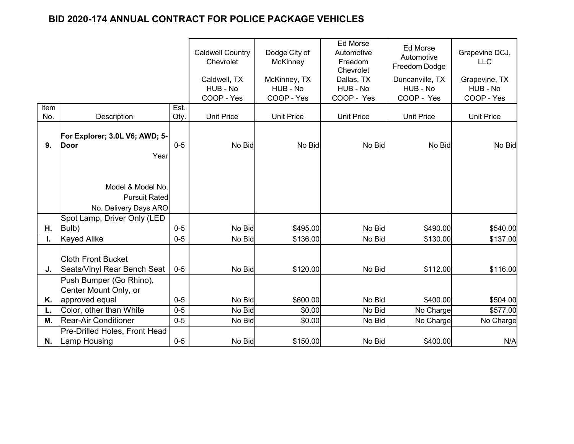|             |                                                                                |                  | <b>Caldwell Country</b><br>Chevrolet<br>Caldwell, TX<br>HUB - No | Dodge City of<br><b>McKinney</b><br>McKinney, TX<br>HUB - No | <b>Ed Morse</b><br>Automotive<br>Freedom<br>Chevrolet<br>Dallas, TX<br>HUB - No | Ed Morse<br>Automotive<br>Freedom Dodge<br>Duncanville, TX<br>HUB - No | Grapevine DCJ,<br><b>LLC</b><br>Grapevine, TX<br>HUB - No |
|-------------|--------------------------------------------------------------------------------|------------------|------------------------------------------------------------------|--------------------------------------------------------------|---------------------------------------------------------------------------------|------------------------------------------------------------------------|-----------------------------------------------------------|
|             |                                                                                |                  | COOP - Yes                                                       | COOP - Yes                                                   | COOP - Yes                                                                      | COOP - Yes                                                             | COOP - Yes                                                |
| Item<br>No. | <b>Description</b>                                                             | Est.<br>Qty.     | <b>Unit Price</b>                                                | <b>Unit Price</b>                                            | <b>Unit Price</b>                                                               | <b>Unit Price</b>                                                      | <b>Unit Price</b>                                         |
| 9.          | For Explorer; 3.0L V6; AWD; 5-<br><b>Door</b><br>Year                          | $0-5$            | No Bid                                                           | No Bid                                                       | No Bid                                                                          | No Bid                                                                 | No Bid                                                    |
|             | Model & Model No.<br><b>Pursuit Rated</b><br>No. Delivery Days ARO             |                  |                                                                  |                                                              |                                                                                 |                                                                        |                                                           |
|             | Spot Lamp, Driver Only (LED                                                    |                  |                                                                  |                                                              |                                                                                 |                                                                        |                                                           |
| Η.          | Bulb)                                                                          | $0 - 5$          | No Bid                                                           | \$495.00                                                     | No Bid                                                                          | \$490.00                                                               | \$540.00                                                  |
| I.<br>J.    | <b>Keyed Alike</b><br><b>Cloth Front Bucket</b><br>Seats/Vinyl Rear Bench Seat | $0 - 5$<br>$0-5$ | No Bid<br>No Bid                                                 | \$136.00<br>\$120.00                                         | No Bid<br>No Bid                                                                | \$130.00<br>\$112.00                                                   | \$137.00<br>\$116.00                                      |
| Κ.          | Push Bumper (Go Rhino),<br>Center Mount Only, or<br>approved equal             | $0-5$            | No Bid                                                           | \$600.00                                                     | No Bid                                                                          | \$400.00                                                               | \$504.00                                                  |
|             | Color, other than White                                                        | $0 - 5$          | No Bid                                                           | \$0.00                                                       | No Bid                                                                          | No Charge                                                              | \$577.00                                                  |
| М.          | <b>Rear-Air Conditioner</b>                                                    | $0-5$            | No Bid                                                           | \$0.00                                                       | No Bid                                                                          | No Charge                                                              | No Charge                                                 |
| N.          | Pre-Drilled Holes, Front Head<br><b>Lamp Housing</b>                           | $0-5$            | No Bid                                                           | \$150.00                                                     | No Bid                                                                          | \$400.00                                                               | N/A                                                       |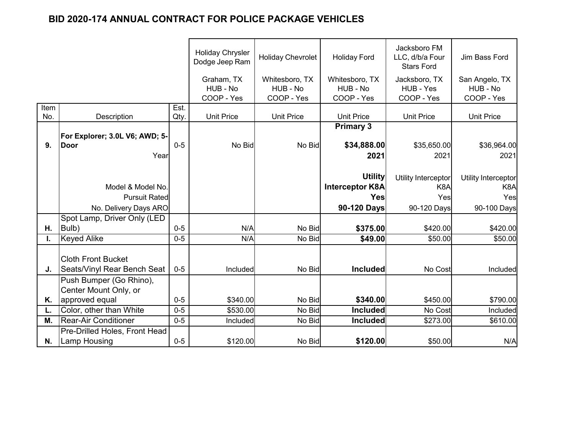|      |                                                          |         | <b>Holiday Chrysler</b><br>Dodge Jeep Ram | <b>Holiday Chevrolet</b>                 | <b>Holiday Ford</b>                      | Jacksboro FM<br>LLC, d/b/a Four<br><b>Stars Ford</b> | Jim Bass Ford                            |
|------|----------------------------------------------------------|---------|-------------------------------------------|------------------------------------------|------------------------------------------|------------------------------------------------------|------------------------------------------|
|      |                                                          |         | Graham, TX<br>HUB - No<br>COOP - Yes      | Whitesboro, TX<br>HUB - No<br>COOP - Yes | Whitesboro, TX<br>HUB - No<br>COOP - Yes | Jacksboro, TX<br>HUB - Yes<br>COOP - Yes             | San Angelo, TX<br>HUB - No<br>COOP - Yes |
| Item |                                                          | Est.    |                                           |                                          |                                          |                                                      |                                          |
| No.  | Description                                              | Qty.    | <b>Unit Price</b>                         | <b>Unit Price</b>                        | <b>Unit Price</b>                        | <b>Unit Price</b>                                    | <b>Unit Price</b>                        |
|      |                                                          |         |                                           |                                          | <b>Primary 3</b>                         |                                                      |                                          |
|      | For Explorer; 3.0L V6; AWD; 5-                           |         |                                           |                                          |                                          |                                                      |                                          |
| 9.   | <b>Door</b>                                              | $0 - 5$ | No Bid                                    | No Bid                                   | \$34,888.00                              | \$35,650.00                                          | \$36,964.00                              |
|      | Year                                                     |         |                                           |                                          | 2021                                     | 2021                                                 | 2021                                     |
|      |                                                          |         |                                           |                                          |                                          |                                                      |                                          |
|      |                                                          |         |                                           |                                          | <b>Utility</b>                           | Utility Interceptor                                  | Utility Interceptor                      |
|      | Model & Model No.                                        |         |                                           |                                          | <b>Interceptor K8A</b>                   | K <sub>8</sub> A                                     | K <sub>8</sub> A                         |
|      | <b>Pursuit Rated</b>                                     |         |                                           |                                          | <b>Yes</b>                               | Yes                                                  | Yes                                      |
|      | No. Delivery Days ARO                                    |         |                                           |                                          | 90-120 Days                              | 90-120 Days                                          | 90-100 Days                              |
|      | Spot Lamp, Driver Only (LED                              |         |                                           |                                          |                                          |                                                      |                                          |
| Η.   | Bulb)                                                    | $0 - 5$ | N/A                                       | No Bid                                   | \$375.00                                 | \$420.00                                             | \$420.00                                 |
| I.   | <b>Keyed Alike</b>                                       | $0 - 5$ | N/A                                       | No Bid                                   | \$49.00                                  | \$50.00                                              | \$50.00                                  |
| J.   | <b>Cloth Front Bucket</b><br>Seats/Vinyl Rear Bench Seat | $0-5$   | <b>Included</b>                           | No Bid                                   | <b>Included</b>                          | No Cost                                              | <b>Included</b>                          |
|      |                                                          |         |                                           |                                          |                                          |                                                      |                                          |
|      | Push Bumper (Go Rhino),<br>Center Mount Only, or         |         |                                           |                                          |                                          |                                                      |                                          |
| Κ.   | approved equal                                           | $0 - 5$ | \$340.00                                  | No Bid                                   | \$340.00                                 | \$450.00                                             | \$790.00                                 |
|      | Color, other than White                                  | $0 - 5$ |                                           | No Bid                                   | <b>Included</b>                          | No Cost                                              |                                          |
|      |                                                          |         | \$530.00                                  |                                          |                                          |                                                      | Included                                 |
| М.   | <b>Rear-Air Conditioner</b>                              | $0-5$   | Included                                  | No Bid                                   | <b>Included</b>                          | \$273.00                                             | \$610.00                                 |
| N.   | Pre-Drilled Holes, Front Head<br><b>Lamp Housing</b>     | $0 - 5$ | \$120.00                                  | No Bid                                   | \$120.00                                 | \$50.00                                              | N/A                                      |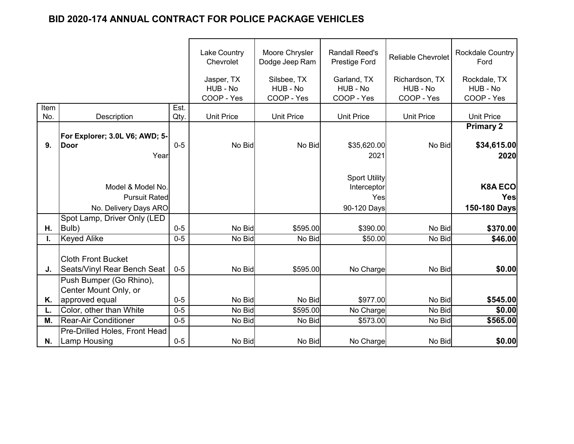|             |                                                                    |              | <b>Lake Country</b><br>Chevrolet | Moore Chrysler<br>Dodge Jeep Ram | <b>Randall Reed's</b><br>Prestige Ford                    | <b>Reliable Chevrolet</b>  | <b>Rockdale Country</b><br>Ford         |
|-------------|--------------------------------------------------------------------|--------------|----------------------------------|----------------------------------|-----------------------------------------------------------|----------------------------|-----------------------------------------|
|             |                                                                    |              | Jasper, TX<br>HUB - No           | Silsbee, TX<br>HUB - No          | Garland, TX<br>HUB - No                                   | Richardson, TX<br>HUB - No | Rockdale, TX<br>HUB - No                |
|             |                                                                    |              | COOP - Yes                       | COOP - Yes                       | COOP - Yes                                                | COOP - Yes                 | COOP - Yes                              |
| Item<br>No. | Description                                                        | Est.<br>Qty. | <b>Unit Price</b>                | <b>Unit Price</b>                | <b>Unit Price</b>                                         | <b>Unit Price</b>          | <b>Unit Price</b>                       |
| 9.          | For Explorer; 3.0L V6; AWD; 5-<br>Door<br>Year                     | $0-5$        | No Bid                           | No Bid                           | \$35,620.00<br>2021                                       | No Bid                     | <b>Primary 2</b><br>\$34,615.00<br>2020 |
|             | Model & Model No.<br><b>Pursuit Rated</b><br>No. Delivery Days ARO |              |                                  |                                  | <b>Sport Utility</b><br>Interceptor<br>Yes<br>90-120 Days |                            | <b>K8A ECO</b><br>Yes<br>150-180 Days   |
| Η.          | Spot Lamp, Driver Only (LED<br>Bulb)                               | $0 - 5$      | No Bid                           | \$595.00                         | \$390.00                                                  | No Bid                     | \$370.00                                |
| I.          | <b>Keyed Alike</b>                                                 | $0 - 5$      | No Bid                           | No Bid                           | \$50.00                                                   | No Bid                     | \$46.00                                 |
| J.          | <b>Cloth Front Bucket</b><br>Seats/Vinyl Rear Bench Seat           | $0-5$        | No Bid                           | \$595.00                         | No Charge                                                 | No Bid                     | \$0.00                                  |
| Κ.          | Push Bumper (Go Rhino),<br>Center Mount Only, or<br>approved equal | $0 - 5$      | No Bid                           | No Bid                           | \$977.00                                                  | No Bid                     | \$545.00                                |
| L.          | Color, other than White                                            | $0 - 5$      | No Bid                           | \$595.00                         | No Charge                                                 | No Bid                     | \$0.00                                  |
| М.          | <b>Rear-Air Conditioner</b>                                        | $0 - 5$      | No Bid                           | No Bid                           | \$573.00                                                  | No Bid                     | \$565.00                                |
| N.          | Pre-Drilled Holes, Front Head<br><b>Lamp Housing</b>               | $0 - 5$      | No Bid                           | No Bid                           | No Charge                                                 | No Bid                     | \$0.00                                  |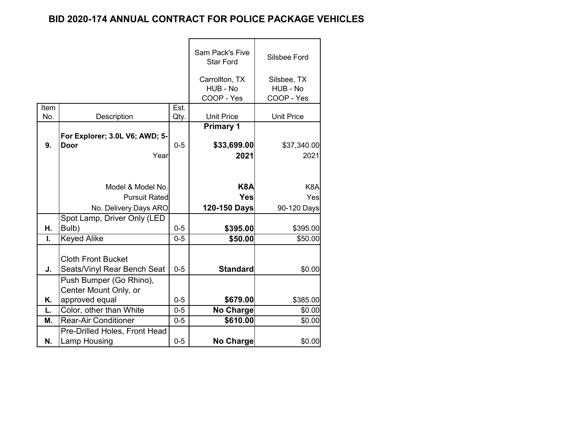|      |                                                          |         | Sam Pack's Five<br><b>Star Ford</b>      | Silsbee Ford                          |
|------|----------------------------------------------------------|---------|------------------------------------------|---------------------------------------|
|      |                                                          |         | Carrollton, TX<br>HUB - No<br>COOP - Yes | Silsbee, TX<br>HUB - No<br>COOP - Yes |
| Item |                                                          | Est.    |                                          |                                       |
| No.  | Description                                              | Qty.    | <b>Unit Price</b>                        | <b>Unit Price</b>                     |
| 9.   | For Explorer; 3.0L V6; AWD; 5-<br>Door                   | $0 - 5$ | <b>Primary 1</b><br>\$33,699.00          | \$37,340.00                           |
|      | Year                                                     |         | 2021                                     | 2021                                  |
|      |                                                          |         | K <sub>8</sub> A                         |                                       |
|      | Model & Model No.                                        |         |                                          | K <sub>8</sub> A                      |
|      | <b>Pursuit Rated</b>                                     |         | <b>Yes</b>                               | Yes                                   |
|      | No. Delivery Days ARO                                    |         | 120-150 Days                             | 90-120 Days                           |
|      | Spot Lamp, Driver Only (LED                              |         |                                          |                                       |
| Η.   | Bulb)                                                    | $0-5$   | \$395.00                                 | \$395.00                              |
| L.   | <b>Keyed Alike</b>                                       | $0 - 5$ | \$50.00                                  | \$50.00                               |
| J.   | <b>Cloth Front Bucket</b><br>Seats/Vinyl Rear Bench Seat | $0 - 5$ | <b>Standard</b>                          | \$0.00                                |
|      | Push Bumper (Go Rhino),<br>Center Mount Only, or         |         |                                          |                                       |
| Κ.   | approved equal                                           | $0 - 5$ | \$679.00                                 | \$385.00                              |
| L.   | Color, other than White                                  | $0 - 5$ | No Charge                                | \$0.00                                |
| М.   | <b>Rear-Air Conditioner</b>                              | $0 - 5$ | \$610.00                                 | \$0.00                                |
| Ν.   | Pre-Drilled Holes, Front Head<br>Lamp Housing            | $0 - 5$ | No Charge                                | \$0.00                                |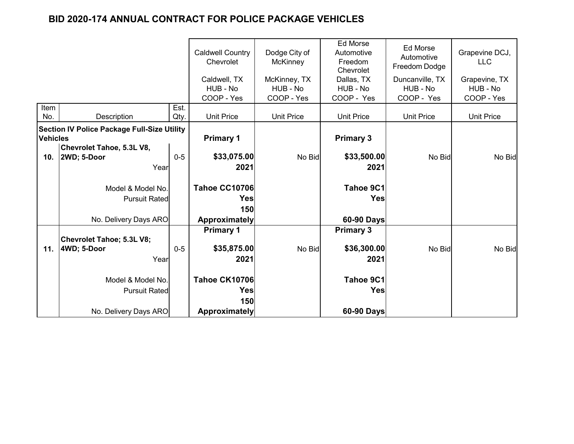|                 |                                                    |       | <b>Caldwell Country</b><br>Chevrolet | Dodge City of<br><b>McKinney</b> | <b>Ed Morse</b><br>Automotive<br>Freedom<br>Chevrolet | Ed Morse<br>Automotive<br>Freedom Dodge | Grapevine DCJ,<br><b>LLC</b> |
|-----------------|----------------------------------------------------|-------|--------------------------------------|----------------------------------|-------------------------------------------------------|-----------------------------------------|------------------------------|
|                 |                                                    |       | Caldwell, TX                         | McKinney, TX                     | Dallas, TX                                            | Duncanville, TX                         | Grapevine, TX                |
|                 |                                                    |       | HUB - No<br>COOP - Yes               | HUB - No<br>COOP - Yes           | HUB - No<br>COOP - Yes                                | HUB - No<br>COOP - Yes                  | HUB - No<br>COOP - Yes       |
| Item            |                                                    | Est.  |                                      |                                  |                                                       |                                         |                              |
| No.             | Description                                        | Qty.  | <b>Unit Price</b>                    | <b>Unit Price</b>                | <b>Unit Price</b>                                     | <b>Unit Price</b>                       | <b>Unit Price</b>            |
|                 | <b>Section IV Police Package Full-Size Utility</b> |       |                                      |                                  |                                                       |                                         |                              |
| <b>Vehicles</b> |                                                    |       | <b>Primary 1</b>                     |                                  | <b>Primary 3</b>                                      |                                         |                              |
|                 | Chevrolet Tahoe, 5.3L V8,                          |       |                                      |                                  |                                                       |                                         |                              |
|                 | 10. 2WD; 5-Door                                    | $0-5$ | \$33,075.00                          | No Bid                           | \$33,500.00                                           | No Bid                                  | No Bid                       |
|                 | Year                                               |       | 2021                                 |                                  | 2021                                                  |                                         |                              |
|                 | Model & Model No.                                  |       | <b>Tahoe CC10706</b>                 |                                  | Tahoe 9C1                                             |                                         |                              |
|                 | <b>Pursuit Ratedl</b>                              |       | Yes                                  |                                  | <b>Yes</b>                                            |                                         |                              |
|                 |                                                    |       | 150                                  |                                  |                                                       |                                         |                              |
|                 | No. Delivery Days ARO                              |       | <b>Approximately</b>                 |                                  | 60-90 Days                                            |                                         |                              |
|                 |                                                    |       | <b>Primary 1</b>                     |                                  | <b>Primary 3</b>                                      |                                         |                              |
|                 | <b>Chevrolet Tahoe; 5.3L V8;</b>                   |       |                                      |                                  |                                                       |                                         |                              |
| 11.             | 4WD; 5-Door                                        | $0-5$ | \$35,875.00                          | No Bid                           | \$36,300.00                                           | No Bid                                  | No Bid                       |
|                 | Year                                               |       | 2021                                 |                                  | 2021                                                  |                                         |                              |
|                 |                                                    |       |                                      |                                  |                                                       |                                         |                              |
|                 | Model & Model No.                                  |       | <b>Tahoe CK10706</b>                 |                                  | Tahoe 9C1                                             |                                         |                              |
|                 | <b>Pursuit Rated</b>                               |       | Yes                                  |                                  | <b>Yes</b>                                            |                                         |                              |
|                 |                                                    |       | 150                                  |                                  |                                                       |                                         |                              |
|                 | No. Delivery Days ARO                              |       | <b>Approximately</b>                 |                                  | 60-90 Days                                            |                                         |                              |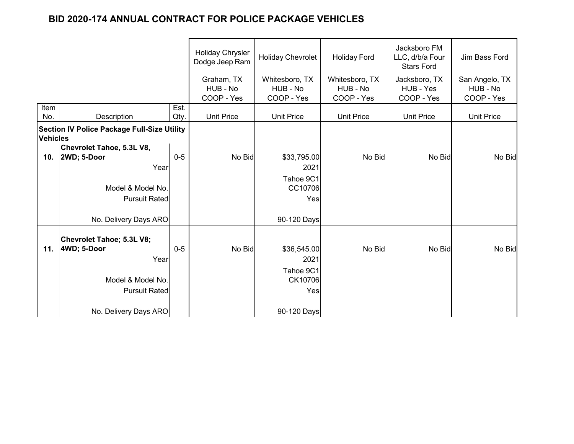|                 |                                                    |         | <b>Holiday Chrysler</b><br>Dodge Jeep Ram | Holiday Chevrolet                      | <b>Holiday Ford</b>        | Jacksboro FM<br>LLC, d/b/a Four<br><b>Stars Ford</b> | Jim Bass Ford              |
|-----------------|----------------------------------------------------|---------|-------------------------------------------|----------------------------------------|----------------------------|------------------------------------------------------|----------------------------|
|                 |                                                    |         | Graham, TX<br>HUB - No                    | Whitesboro, TX<br>HUB - No             | Whitesboro, TX<br>HUB - No | Jacksboro, TX<br>HUB - Yes                           | San Angelo, TX<br>HUB - No |
|                 |                                                    |         | COOP - Yes                                | COOP - Yes                             | COOP - Yes                 | COOP - Yes                                           | COOP - Yes                 |
| Item            |                                                    | Est.    |                                           |                                        |                            |                                                      |                            |
| No.             | Description                                        | Qty.    | <b>Unit Price</b>                         | <b>Unit Price</b><br><b>Unit Price</b> |                            | <b>Unit Price</b>                                    | <b>Unit Price</b>          |
| <b>Vehicles</b> | <b>Section IV Police Package Full-Size Utility</b> |         |                                           |                                        |                            |                                                      |                            |
|                 | Chevrolet Tahoe, 5.3L V8,                          |         |                                           |                                        |                            |                                                      |                            |
| 10.             | 2WD; 5-Door                                        | $0 - 5$ | No Bid                                    | \$33,795.00                            | No Bid                     | No Bid                                               | No Bid                     |
|                 | Year                                               |         |                                           | 2021                                   |                            |                                                      |                            |
|                 |                                                    |         |                                           | Tahoe 9C1                              |                            |                                                      |                            |
|                 | Model & Model No.<br><b>Pursuit Rated</b>          |         |                                           | CC10706                                |                            |                                                      |                            |
|                 |                                                    |         |                                           | Yes                                    |                            |                                                      |                            |
|                 | No. Delivery Days ARO                              |         |                                           | 90-120 Days                            |                            |                                                      |                            |
|                 | <b>Chevrolet Tahoe; 5.3L V8;</b>                   |         |                                           |                                        |                            |                                                      |                            |
| 11.             | 4WD; 5-Door                                        | $0-5$   | No Bid                                    | \$36,545.00                            | No Bid                     | No Bid                                               | No Bid                     |
|                 | Year                                               |         |                                           | 2021                                   |                            |                                                      |                            |
|                 |                                                    |         |                                           | Tahoe 9C1                              |                            |                                                      |                            |
|                 | Model & Model No.                                  |         |                                           | CK10706                                |                            |                                                      |                            |
|                 | <b>Pursuit Rated</b>                               |         |                                           | Yes                                    |                            |                                                      |                            |
|                 | No. Delivery Days ARO                              |         |                                           | 90-120 Days                            |                            |                                                      |                            |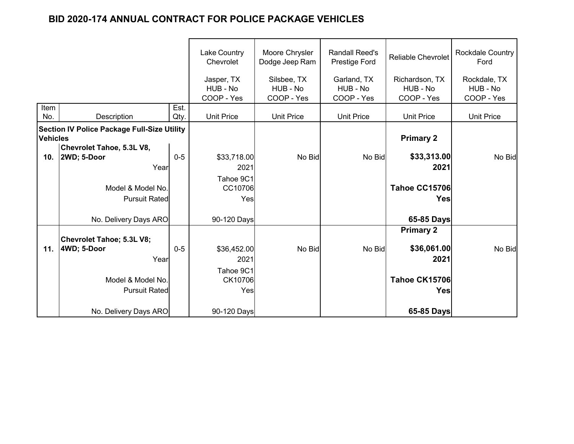|                 |                                                    |         | <b>Lake Country</b><br>Chevrolet | Moore Chrysler<br>Dodge Jeep Ram | <b>Randall Reed's</b><br>Prestige Ford | <b>Reliable Chevrolet</b>  | Rockdale Country<br>Ford |
|-----------------|----------------------------------------------------|---------|----------------------------------|----------------------------------|----------------------------------------|----------------------------|--------------------------|
|                 |                                                    |         | Jasper, TX<br>HUB - No           | Silsbee, TX<br>HUB - No          | Garland, TX<br>HUB - No                | Richardson, TX<br>HUB - No | Rockdale, TX<br>HUB - No |
|                 |                                                    |         | COOP - Yes                       | COOP - Yes                       | COOP - Yes                             | COOP - Yes                 | COOP - Yes               |
| Item            |                                                    | Est.    |                                  |                                  |                                        |                            |                          |
| No.             | <b>Description</b>                                 | Qty.    | <b>Unit Price</b>                | <b>Unit Price</b>                | <b>Unit Price</b>                      | <b>Unit Price</b>          | <b>Unit Price</b>        |
| <b>Vehicles</b> | <b>Section IV Police Package Full-Size Utility</b> |         |                                  |                                  |                                        | <b>Primary 2</b>           |                          |
|                 | Chevrolet Tahoe, 5.3L V8,                          |         |                                  |                                  |                                        |                            |                          |
| 10.             | 2WD; 5-Door                                        | $0 - 5$ | \$33,718.00                      | No Bid                           | No Bid                                 | \$33,313.00                | No Bid                   |
|                 | Year                                               |         | 2021                             |                                  |                                        | 2021                       |                          |
|                 |                                                    |         | Tahoe 9C1                        |                                  |                                        |                            |                          |
|                 | Model & Model No.                                  |         | CC10706                          |                                  |                                        | <b>Tahoe CC15706</b>       |                          |
|                 | <b>Pursuit Rated</b>                               |         | Yes                              |                                  |                                        | <b>Yes</b>                 |                          |
|                 | No. Delivery Days ARO                              |         | 90-120 Days                      |                                  |                                        | 65-85 Days                 |                          |
|                 |                                                    |         |                                  |                                  |                                        | <b>Primary 2</b>           |                          |
|                 | Chevrolet Tahoe; 5.3L V8;                          |         |                                  |                                  |                                        |                            |                          |
| 11.             | 4WD; 5-Door                                        | $0-5$   | \$36,452.00                      | No Bid                           | No Bid                                 | \$36,061.00                | No Bid                   |
|                 | Year                                               |         | 2021                             |                                  |                                        | 2021                       |                          |
|                 |                                                    |         | Tahoe 9C1                        |                                  |                                        |                            |                          |
|                 | Model & Model No.                                  |         | CK10706                          |                                  |                                        | <b>Tahoe CK15706</b>       |                          |
|                 | <b>Pursuit Rated</b>                               |         | Yes                              |                                  |                                        | <b>Yes</b>                 |                          |
|                 |                                                    |         |                                  |                                  |                                        |                            |                          |
|                 | No. Delivery Days ARO                              |         | 90-120 Days                      |                                  |                                        | 65-85 Days                 |                          |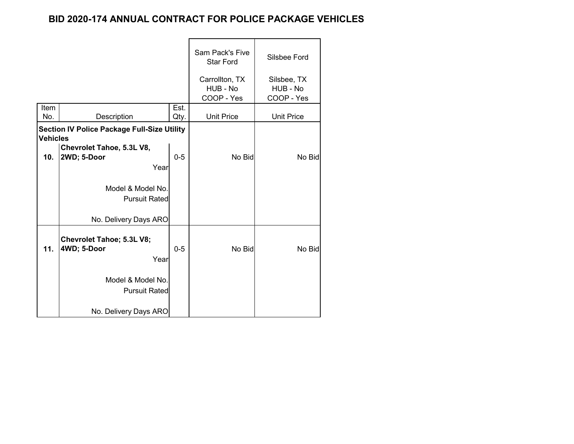|                 |                                                                    |         | Sam Pack's Five<br><b>Star Ford</b>      | Silsbee Ford                          |
|-----------------|--------------------------------------------------------------------|---------|------------------------------------------|---------------------------------------|
|                 |                                                                    |         | Carrollton, TX<br>HUB - No<br>COOP - Yes | Silsbee, TX<br>HUB - No<br>COOP - Yes |
| Item            |                                                                    | Est.    |                                          |                                       |
| No.             | Description                                                        | Qty.    | <b>Unit Price</b>                        | <b>Unit Price</b>                     |
| <b>Vehicles</b> | <b>Section IV Police Package Full-Size Utility</b>                 |         |                                          |                                       |
| 10.             | Chevrolet Tahoe, 5.3L V8,<br>2WD; 5-Door<br>Year                   | $0 - 5$ | No Bid                                   | No Bid                                |
|                 | Model & Model No.<br><b>Pursuit Rated</b><br>No. Delivery Days ARO |         |                                          |                                       |
| 11.             | Chevrolet Tahoe; 5.3L V8;<br>4WD; 5-Door<br>Year                   | $0 - 5$ | No Bid                                   | No Bid                                |
|                 | Model & Model No.<br><b>Pursuit Rated</b>                          |         |                                          |                                       |
|                 | No. Delivery Days ARO                                              |         |                                          |                                       |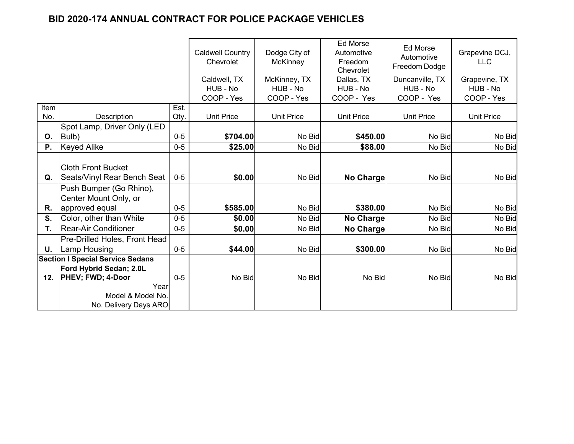|           |                                         |         | <b>Caldwell Country</b><br>Chevrolet<br>Caldwell, TX<br>HUB - No | Dodge City of<br>McKinney<br>McKinney, TX<br>HUB - No | <b>Ed Morse</b><br>Automotive<br>Freedom<br>Chevrolet<br>Dallas, TX<br>HUB - No | Ed Morse<br>Automotive<br>Freedom Dodge<br>Duncanville, TX<br>HUB - No | Grapevine DCJ,<br><b>LLC</b><br>Grapevine, TX<br>HUB - No |
|-----------|-----------------------------------------|---------|------------------------------------------------------------------|-------------------------------------------------------|---------------------------------------------------------------------------------|------------------------------------------------------------------------|-----------------------------------------------------------|
|           |                                         |         | COOP - Yes                                                       | COOP - Yes                                            | COOP - Yes                                                                      | COOP - Yes                                                             | COOP - Yes                                                |
| Item      |                                         | Est.    |                                                                  |                                                       |                                                                                 |                                                                        |                                                           |
| No.       | Description                             | Qty.    | <b>Unit Price</b>                                                | <b>Unit Price</b>                                     | <b>Unit Price</b>                                                               | <b>Unit Price</b>                                                      | <b>Unit Price</b>                                         |
| O.        | Spot Lamp, Driver Only (LED<br>Bulb)    | $0 - 5$ | \$704.00                                                         | No Bid                                                | \$450.00                                                                        | No Bid                                                                 | No Bid                                                    |
| <b>P.</b> | <b>Keyed Alike</b>                      | $0-5$   | \$25.00                                                          | No Bid                                                | \$88.00                                                                         | No Bid                                                                 | No Bid                                                    |
|           |                                         |         |                                                                  |                                                       |                                                                                 |                                                                        |                                                           |
|           | <b>Cloth Front Bucket</b>               |         |                                                                  |                                                       |                                                                                 |                                                                        |                                                           |
| Q.        | Seats/Vinyl Rear Bench Seat             | $0 - 5$ | \$0.00                                                           | No Bid                                                | No Charge                                                                       | No Bid                                                                 | No Bid                                                    |
|           | Push Bumper (Go Rhino),                 |         |                                                                  |                                                       |                                                                                 |                                                                        |                                                           |
|           | Center Mount Only, or                   |         |                                                                  |                                                       |                                                                                 |                                                                        |                                                           |
| R.        | approved equal                          | $0-5$   | \$585.00                                                         | No Bid                                                | \$380.00                                                                        | No Bid                                                                 | No Bid                                                    |
| S.        | Color, other than White                 | $0-5$   | \$0.00                                                           | No Bid                                                | No Charge                                                                       | No Bid                                                                 | No Bid                                                    |
| T.        | <b>Rear-Air Conditioner</b>             | $0-5$   | \$0.00                                                           | No Bid                                                | No Charge                                                                       | No Bid                                                                 | No Bid                                                    |
|           | Pre-Drilled Holes, Front Head           |         |                                                                  |                                                       |                                                                                 |                                                                        |                                                           |
| U.        | <b>Lamp Housing</b>                     | $0 - 5$ | \$44.00                                                          | No Bid                                                | \$300.00                                                                        | No Bid                                                                 | No Bid                                                    |
|           | <b>Section I Special Service Sedans</b> |         |                                                                  |                                                       |                                                                                 |                                                                        |                                                           |
|           | Ford Hybrid Sedan; 2.0L                 |         |                                                                  |                                                       |                                                                                 |                                                                        |                                                           |
| 12.       | <b>PHEV; FWD; 4-Door</b>                | $0 - 5$ | No Bid                                                           | No Bid                                                | No Bid                                                                          | No Bid                                                                 | No Bid                                                    |
|           | Year                                    |         |                                                                  |                                                       |                                                                                 |                                                                        |                                                           |
|           | Model & Model No.                       |         |                                                                  |                                                       |                                                                                 |                                                                        |                                                           |
|           | No. Delivery Days ARO                   |         |                                                                  |                                                       |                                                                                 |                                                                        |                                                           |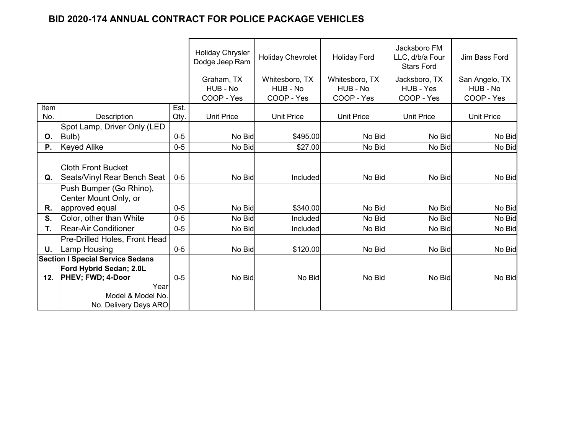|           |                                         |         | <b>Holiday Chrysler</b><br>Dodge Jeep Ram | <b>Holiday Chevrolet</b> | <b>Holiday Ford</b> | Jacksboro FM<br>LLC, d/b/a Four<br><b>Stars Ford</b> | Jim Bass Ford     |
|-----------|-----------------------------------------|---------|-------------------------------------------|--------------------------|---------------------|------------------------------------------------------|-------------------|
|           |                                         |         | Graham, TX                                | Whitesboro, TX           | Whitesboro, TX      | Jacksboro, TX                                        | San Angelo, TX    |
|           |                                         |         | HUB - No                                  | HUB - No                 | HUB - No            | HUB - Yes                                            | HUB - No          |
|           |                                         |         | COOP - Yes                                | COOP - Yes               | COOP - Yes          | COOP - Yes                                           | COOP - Yes        |
| Item      |                                         | Est.    |                                           |                          |                     |                                                      |                   |
| No.       | Description                             | Qty.    | <b>Unit Price</b>                         | <b>Unit Price</b>        | <b>Unit Price</b>   | <b>Unit Price</b>                                    | <b>Unit Price</b> |
|           | Spot Lamp, Driver Only (LED             |         |                                           |                          |                     |                                                      |                   |
| 0.        | Bulb)                                   | $0 - 5$ | No Bid                                    | \$495.00                 | No Bid              | No Bid                                               | No Bid            |
| <b>P.</b> | <b>Keyed Alike</b>                      | $0-5$   | No Bid                                    | \$27.00                  | No Bid              | No Bid                                               | No Bid            |
|           |                                         |         |                                           |                          |                     |                                                      |                   |
|           | <b>Cloth Front Bucket</b>               |         |                                           |                          |                     |                                                      |                   |
| Q.        | Seats/Vinyl Rear Bench Seat             | $0 - 5$ | No Bid                                    | Included                 | No Bid              | No Bid                                               | No Bid            |
|           | Push Bumper (Go Rhino),                 |         |                                           |                          |                     |                                                      |                   |
|           | Center Mount Only, or                   |         |                                           |                          |                     |                                                      |                   |
| R.        | approved equal                          | $0 - 5$ | No Bid                                    | \$340.00                 | No Bid              | No Bid                                               | No Bid            |
| S.        | Color, other than White                 | $0 - 5$ | No Bid                                    | Included                 | No Bid              | No Bid                                               | No Bid            |
| T.        | <b>Rear-Air Conditioner</b>             | $0 - 5$ | No Bid                                    | Included                 | No Bid              | No Bid                                               | No Bid            |
|           | Pre-Drilled Holes, Front Head           |         |                                           |                          |                     |                                                      |                   |
| U.        | <b>Lamp Housing</b>                     | $0 - 5$ | No Bid                                    | \$120.00                 | No Bid              | No Bid                                               | No Bid            |
|           | <b>Section I Special Service Sedans</b> |         |                                           |                          |                     |                                                      |                   |
|           | Ford Hybrid Sedan; 2.0L                 |         |                                           |                          |                     |                                                      |                   |
| 12.       | <b>PHEV; FWD; 4-Door</b>                | $0 - 5$ | No Bid                                    | No Bid                   | No Bid              | No Bid                                               | No Bid            |
|           | Year                                    |         |                                           |                          |                     |                                                      |                   |
|           | Model & Model No.                       |         |                                           |                          |                     |                                                      |                   |
|           | No. Delivery Days ARO                   |         |                                           |                          |                     |                                                      |                   |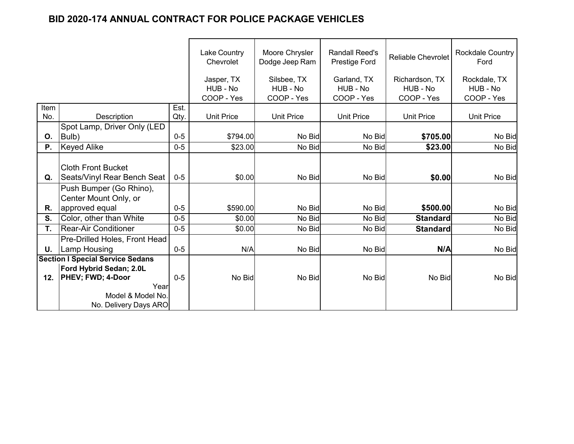|      |                                         |         | <b>Lake Country</b><br>Chevrolet | Moore Chrysler<br>Dodge Jeep Ram | <b>Randall Reed's</b><br>Prestige Ford | <b>Reliable Chevrolet</b> | <b>Rockdale Country</b><br>Ford |
|------|-----------------------------------------|---------|----------------------------------|----------------------------------|----------------------------------------|---------------------------|---------------------------------|
|      |                                         |         | Jasper, TX                       | Silsbee, TX                      | Garland, TX                            | Richardson, TX            | Rockdale, TX                    |
|      |                                         |         | HUB - No<br>COOP - Yes           | HUB - No<br>COOP - Yes           | HUB - No<br>COOP - Yes                 | HUB - No<br>COOP - Yes    | HUB - No<br>COOP - Yes          |
| Item |                                         | Est.    |                                  |                                  |                                        |                           |                                 |
| No.  | Description                             | Qty.    | <b>Unit Price</b>                | <b>Unit Price</b>                | <b>Unit Price</b>                      | <b>Unit Price</b>         | <b>Unit Price</b>               |
|      | Spot Lamp, Driver Only (LED             |         |                                  |                                  |                                        |                           |                                 |
| O.   | Bulb)                                   | $0 - 5$ | \$794.00                         | No Bid                           | No Bid                                 | \$705.00                  | No Bid                          |
| Ρ.   | <b>Keyed Alike</b>                      | $0 - 5$ | \$23.00                          | No Bid                           | No Bid                                 | \$23.00                   | No Bid                          |
|      |                                         |         |                                  |                                  |                                        |                           |                                 |
|      | <b>Cloth Front Bucket</b>               |         |                                  |                                  |                                        |                           |                                 |
| Q.   | Seats/Vinyl Rear Bench Seat             | $0-5$   | \$0.00                           | No Bid                           | No Bid                                 | \$0.00                    | No Bid                          |
|      | Push Bumper (Go Rhino),                 |         |                                  |                                  |                                        |                           |                                 |
|      | Center Mount Only, or                   |         |                                  |                                  |                                        |                           |                                 |
| R.   | approved equal                          | $0 - 5$ | \$590.00                         | No Bid                           | No Bid                                 | \$500.00                  | No Bid                          |
| S.   | Color, other than White                 | $0 - 5$ | \$0.00                           | No Bid                           | No Bid                                 | <b>Standard</b>           | No Bid                          |
| T.   | <b>Rear-Air Conditioner</b>             | $0 - 5$ | \$0.00                           | No Bid                           | No Bid                                 | <b>Standard</b>           | No Bid                          |
|      | Pre-Drilled Holes, Front Head           |         |                                  |                                  |                                        |                           |                                 |
| U.   | <b>Lamp Housing</b>                     | $0 - 5$ | N/A                              | No Bid                           | No Bid                                 | N/A                       | No Bid                          |
|      | <b>Section I Special Service Sedans</b> |         |                                  |                                  |                                        |                           |                                 |
|      | Ford Hybrid Sedan; 2.0L                 |         |                                  |                                  |                                        |                           |                                 |
| 12.  | <b>PHEV; FWD; 4-Door</b>                | $0 - 5$ | No Bid                           | No Bid                           | No Bid                                 | No Bid                    | No Bid                          |
|      | Year<br>Model & Model No.               |         |                                  |                                  |                                        |                           |                                 |
|      | No. Delivery Days ARO                   |         |                                  |                                  |                                        |                           |                                 |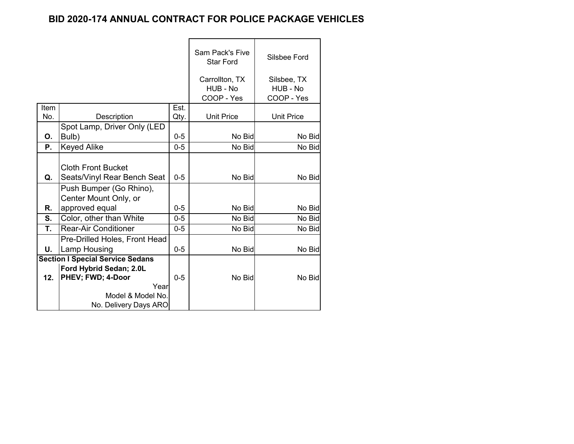|      |                                                                                                    |         | Sam Pack's Five<br><b>Star Ford</b> | Silsbee Ford            |
|------|----------------------------------------------------------------------------------------------------|---------|-------------------------------------|-------------------------|
|      |                                                                                                    |         | Carrollton, TX<br>HUB - No          | Silsbee, TX<br>HUB - No |
|      |                                                                                                    |         | COOP - Yes                          | COOP - Yes              |
| Item |                                                                                                    | Est.    |                                     |                         |
| No.  | Description                                                                                        | Qty.    | <b>Unit Price</b>                   | <b>Unit Price</b>       |
|      | Spot Lamp, Driver Only (LED                                                                        |         |                                     |                         |
| О.   | Bulb)                                                                                              | $0 - 5$ | No Bid                              | No Bid                  |
| Ρ.   | <b>Keyed Alike</b>                                                                                 | $0 - 5$ | No Bid                              | No Bid                  |
| Q.   | <b>Cloth Front Bucket</b><br>Seats/Vinyl Rear Bench Seat                                           | $0 - 5$ | No Bid                              | No Bid                  |
| R.   | Push Bumper (Go Rhino),<br>Center Mount Only, or<br>approved equal                                 | $0 - 5$ | No Bid                              | No Bid                  |
| S.   | Color, other than White                                                                            | $0-5$   | No Bid                              | No Bid                  |
| T.   | <b>Rear-Air Conditioner</b>                                                                        | $0-5$   | No Bid                              | No Bid                  |
|      | Pre-Drilled Holes, Front Head                                                                      |         |                                     |                         |
| U.   | Lamp Housing                                                                                       | $0 - 5$ | No Bid                              | No Bid                  |
|      | <b>Section I Special Service Sedans</b>                                                            |         |                                     |                         |
| 12.  | Ford Hybrid Sedan; 2.0L<br>PHEV; FWD; 4-Door<br>Year<br>Model & Model No.<br>No. Delivery Days ARO | $0 - 5$ | No Bid                              | No Bid                  |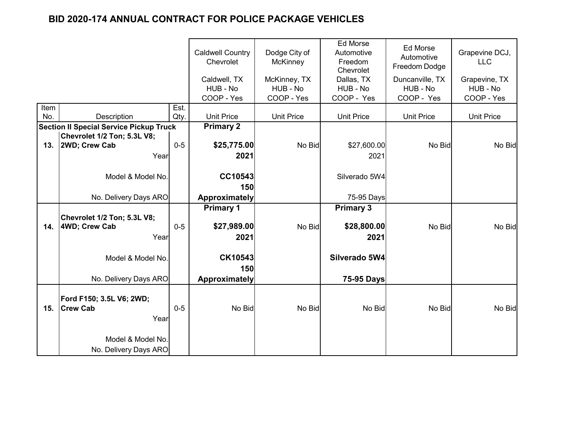|             |                                                |              | <b>Caldwell Country</b><br>Chevrolet | Dodge City of<br><b>McKinney</b> | <b>Ed Morse</b><br>Automotive<br>Freedom<br>Chevrolet | <b>Ed Morse</b><br>Automotive<br>Freedom Dodge | Grapevine DCJ,<br><b>LLC</b> |
|-------------|------------------------------------------------|--------------|--------------------------------------|----------------------------------|-------------------------------------------------------|------------------------------------------------|------------------------------|
|             |                                                |              | Caldwell, TX                         | McKinney, TX                     | Dallas, TX                                            | Duncanville, TX                                | Grapevine, TX                |
|             |                                                |              | HUB - No                             | HUB - No                         | HUB - No                                              | HUB - No                                       | HUB - No                     |
|             |                                                |              | COOP - Yes                           | COOP - Yes                       | COOP - Yes                                            | COOP - Yes                                     | COOP - Yes                   |
| Item<br>No. | Description                                    | Est.<br>Qty. | <b>Unit Price</b>                    | <b>Unit Price</b>                | <b>Unit Price</b>                                     | <b>Unit Price</b>                              | <b>Unit Price</b>            |
|             | <b>Section II Special Service Pickup Truck</b> |              | <b>Primary 2</b>                     |                                  |                                                       |                                                |                              |
|             | Chevrolet 1/2 Ton; 5.3L V8;                    |              |                                      |                                  |                                                       |                                                |                              |
| 13.         | 2WD; Crew Cab                                  | $0-5$        | \$25,775.00                          | No Bid                           | \$27,600.00                                           | No Bid                                         | No Bid                       |
|             | Year                                           |              | 2021                                 |                                  | 2021                                                  |                                                |                              |
|             |                                                |              |                                      |                                  |                                                       |                                                |                              |
|             | Model & Model No.                              |              | CC10543                              |                                  | Silverado 5W4                                         |                                                |                              |
|             |                                                |              | 150                                  |                                  |                                                       |                                                |                              |
|             | No. Delivery Days ARO                          |              | Approximately                        |                                  | 75-95 Days                                            |                                                |                              |
|             |                                                |              | <b>Primary 1</b>                     |                                  | <b>Primary 3</b>                                      |                                                |                              |
|             | Chevrolet 1/2 Ton; 5.3L V8;                    |              |                                      |                                  |                                                       |                                                |                              |
| 14.         | 4WD; Crew Cab                                  | $0-5$        | \$27,989.00                          | No Bid                           | \$28,800.00                                           | No Bid                                         | No Bid                       |
|             | Year                                           |              | 2021                                 |                                  | 2021                                                  |                                                |                              |
|             |                                                |              |                                      |                                  |                                                       |                                                |                              |
|             | Model & Model No.                              |              | CK10543                              |                                  | Silverado 5W4                                         |                                                |                              |
|             |                                                |              | 150                                  |                                  |                                                       |                                                |                              |
|             | No. Delivery Days ARO                          |              | Approximately                        |                                  | 75-95 Days                                            |                                                |                              |
|             |                                                |              |                                      |                                  |                                                       |                                                |                              |
|             | Ford F150; 3.5L V6; 2WD;                       |              |                                      |                                  |                                                       |                                                |                              |
| 15.         | <b>Crew Cab</b>                                | $0-5$        | No Bid                               | No Bid                           | No Bid                                                | No Bid                                         | No Bid                       |
|             | Year                                           |              |                                      |                                  |                                                       |                                                |                              |
|             |                                                |              |                                      |                                  |                                                       |                                                |                              |
|             | Model & Model No.                              |              |                                      |                                  |                                                       |                                                |                              |
|             | No. Delivery Days ARO                          |              |                                      |                                  |                                                       |                                                |                              |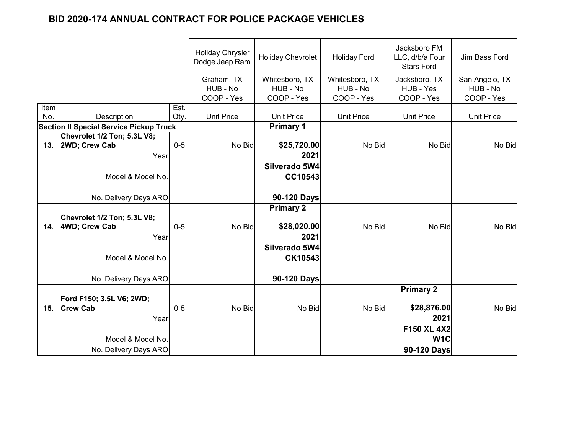|             |                                                |              | <b>Holiday Chrysler</b><br>Dodge Jeep Ram | <b>Holiday Chevrolet</b> | <b>Holiday Ford</b> | Jacksboro FM<br>LLC, d/b/a Four<br><b>Stars Ford</b> | Jim Bass Ford     |
|-------------|------------------------------------------------|--------------|-------------------------------------------|--------------------------|---------------------|------------------------------------------------------|-------------------|
|             |                                                |              | Graham, TX                                | Whitesboro, TX           | Whitesboro, TX      | Jacksboro, TX                                        | San Angelo, TX    |
|             |                                                |              | HUB - No                                  | HUB - No                 | HUB - No            | HUB - Yes                                            | HUB - No          |
|             |                                                |              | COOP - Yes                                | COOP - Yes               | COOP - Yes          | COOP - Yes                                           | COOP - Yes        |
| Item<br>No. | Description                                    | Est.<br>Qty. | <b>Unit Price</b>                         | <b>Unit Price</b>        | <b>Unit Price</b>   | <b>Unit Price</b>                                    | <b>Unit Price</b> |
|             | <b>Section II Special Service Pickup Truck</b> |              |                                           | <b>Primary 1</b>         |                     |                                                      |                   |
|             | Chevrolet 1/2 Ton; 5.3L V8;                    |              |                                           |                          |                     |                                                      |                   |
| 13.         | 2WD; Crew Cab                                  | $0 - 5$      | No Bid                                    | \$25,720.00              | No Bid              | No Bid                                               | No Bid            |
|             | Year                                           |              |                                           | 2021                     |                     |                                                      |                   |
|             |                                                |              |                                           | Silverado 5W4            |                     |                                                      |                   |
|             | Model & Model No.                              |              |                                           | CC10543                  |                     |                                                      |                   |
|             |                                                |              |                                           |                          |                     |                                                      |                   |
|             | No. Delivery Days ARO                          |              |                                           | 90-120 Days              |                     |                                                      |                   |
|             |                                                |              |                                           | <b>Primary 2</b>         |                     |                                                      |                   |
|             | Chevrolet 1/2 Ton; 5.3L V8;                    |              |                                           |                          |                     |                                                      |                   |
| 14.         | 4WD; Crew Cab                                  | $0-5$        | No Bid                                    | \$28,020.00              | No Bid              | No Bid                                               | No Bid            |
|             | Year                                           |              |                                           | 2021                     |                     |                                                      |                   |
|             |                                                |              |                                           | Silverado 5W4            |                     |                                                      |                   |
|             | Model & Model No.                              |              |                                           | CK10543                  |                     |                                                      |                   |
|             | No. Delivery Days ARO                          |              |                                           | 90-120 Days              |                     |                                                      |                   |
|             |                                                |              |                                           |                          |                     | <b>Primary 2</b>                                     |                   |
|             | Ford F150; 3.5L V6; 2WD;                       |              |                                           |                          |                     |                                                      |                   |
| 15.         | <b>Crew Cab</b>                                | $0-5$        | No Bid                                    | No Bid                   | No Bid              | \$28,876.00                                          | No Bid            |
|             | Year                                           |              |                                           |                          |                     | 2021                                                 |                   |
|             |                                                |              |                                           |                          |                     | F150 XL 4X2                                          |                   |
|             | Model & Model No.                              |              |                                           |                          |                     | W <sub>1</sub> C                                     |                   |
|             | No. Delivery Days ARO                          |              |                                           |                          |                     | 90-120 Days                                          |                   |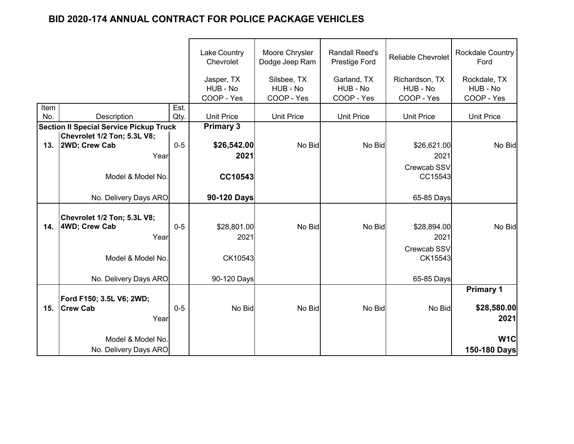|      |                                                | <b>Lake Country</b><br>Chevrolet | Moore Chrysler<br>Dodge Jeep Ram     | <b>Randall Reed's</b><br>Prestige Ford | <b>Reliable Chevrolet</b>             | Rockdale Country<br>Ford                 |                                        |
|------|------------------------------------------------|----------------------------------|--------------------------------------|----------------------------------------|---------------------------------------|------------------------------------------|----------------------------------------|
|      |                                                |                                  | Jasper, TX<br>HUB - No<br>COOP - Yes | Silsbee, TX<br>HUB - No<br>COOP - Yes  | Garland, TX<br>HUB - No<br>COOP - Yes | Richardson, TX<br>HUB - No<br>COOP - Yes | Rockdale, TX<br>HUB - No<br>COOP - Yes |
| Item |                                                | Est.                             |                                      |                                        |                                       |                                          |                                        |
| No.  | Description                                    | Qty.                             | <b>Unit Price</b>                    | <b>Unit Price</b>                      | <b>Unit Price</b>                     | <b>Unit Price</b>                        | <b>Unit Price</b>                      |
|      | <b>Section II Special Service Pickup Truck</b> |                                  | <b>Primary 3</b>                     |                                        |                                       |                                          |                                        |
|      | Chevrolet 1/2 Ton; 5.3L V8;                    |                                  |                                      |                                        |                                       |                                          |                                        |
| 13.  | 2WD; Crew Cab                                  | $0-5$                            | \$26,542.00                          | No Bid                                 | No Bid                                | \$26,621.00                              | No Bid                                 |
|      | Year                                           |                                  | 2021                                 |                                        |                                       | 2021                                     |                                        |
|      |                                                |                                  |                                      |                                        |                                       | Crewcab SSV                              |                                        |
|      | Model & Model No.                              |                                  | CC10543                              |                                        |                                       | CC15543                                  |                                        |
|      |                                                |                                  |                                      |                                        |                                       |                                          |                                        |
|      | No. Delivery Days ARO                          |                                  | 90-120 Days                          |                                        |                                       | 65-85 Days                               |                                        |
|      |                                                |                                  |                                      |                                        |                                       |                                          |                                        |
|      | Chevrolet 1/2 Ton; 5.3L V8;                    |                                  |                                      |                                        |                                       |                                          |                                        |
| 14.  | 4WD; Crew Cab                                  | $0 - 5$                          | \$28,801.00                          | No Bid                                 | No Bid                                | \$28,894.00                              | No Bid                                 |
|      | Year                                           |                                  | 2021                                 |                                        |                                       | 2021                                     |                                        |
|      |                                                |                                  |                                      |                                        |                                       | Crewcab SSV                              |                                        |
|      | Model & Model No.                              |                                  | CK10543                              |                                        |                                       | CK15543                                  |                                        |
|      |                                                |                                  |                                      |                                        |                                       |                                          |                                        |
|      | No. Delivery Days ARO                          |                                  | 90-120 Days                          |                                        |                                       | 65-85 Days                               |                                        |
|      |                                                |                                  |                                      |                                        |                                       |                                          | <b>Primary 1</b>                       |
|      | Ford F150; 3.5L V6; 2WD;                       |                                  |                                      |                                        |                                       |                                          |                                        |
| 15.  | <b>Crew Cab</b>                                | $0-5$                            | No Bid                               | No Bid                                 | No Bid                                | No Bid                                   | \$28,580.00                            |
|      | Year                                           |                                  |                                      |                                        |                                       |                                          | 2021                                   |
|      |                                                |                                  |                                      |                                        |                                       |                                          |                                        |
|      | Model & Model No.                              |                                  |                                      |                                        |                                       |                                          | W <sub>1</sub> C                       |
|      | No. Delivery Days ARO                          |                                  |                                      |                                        |                                       |                                          | 150-180 Days                           |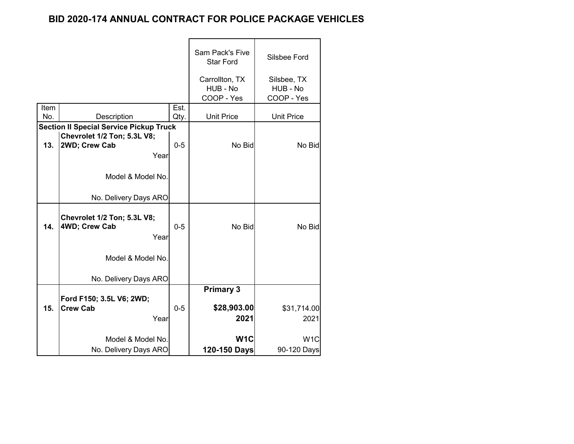|      |                                                                                                |         | Sam Pack's Five<br><b>Star Ford</b>      | Silsbee Ford                          |
|------|------------------------------------------------------------------------------------------------|---------|------------------------------------------|---------------------------------------|
|      |                                                                                                |         | Carrollton, TX<br>HUB - No<br>COOP - Yes | Silsbee, TX<br>HUB - No<br>COOP - Yes |
| Item |                                                                                                | Est.    |                                          |                                       |
| No.  | Description                                                                                    | Qty.    | <b>Unit Price</b>                        | <b>Unit Price</b>                     |
| 13.  | <b>Section II Special Service Pickup Truck</b><br>Chevrolet 1/2 Ton; 5.3L V8;<br>2WD; Crew Cab | $0 - 5$ | No Bid                                   | No Bid                                |
|      | Year<br>Model & Model No.<br>No. Delivery Days ARO                                             |         |                                          |                                       |
| 14.  | Chevrolet 1/2 Ton; 5.3L V8;<br>4WD; Crew Cab<br>Year<br>Model & Model No.                      | $0 - 5$ | No Bid                                   | No Bid                                |
|      | No. Delivery Days ARO                                                                          |         |                                          |                                       |
| 15.  | Ford F150; 3.5L V6; 2WD;<br><b>Crew Cab</b><br>Year                                            | $0 - 5$ | <b>Primary 3</b><br>\$28,903.00<br>2021  | \$31,714.00<br>2021                   |
|      | Model & Model No.                                                                              |         | W <sub>1</sub> C                         | W <sub>1</sub> C                      |
|      | No. Delivery Days ARO                                                                          |         | 120-150 Days                             | 90-120 Days                           |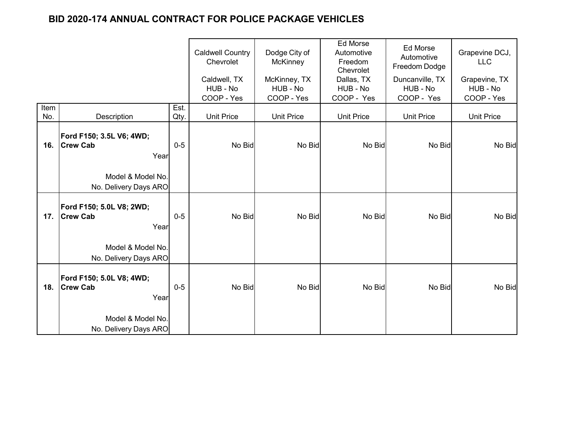|             |                                                     | <b>Caldwell Country</b><br>Chevrolet | Dodge City of<br><b>McKinney</b>       | Ed Morse<br>Automotive<br>Freedom<br>Chevrolet | Ed Morse<br>Automotive<br>Freedom Dodge | Grapevine DCJ,<br><b>LLC</b>              |                                         |
|-------------|-----------------------------------------------------|--------------------------------------|----------------------------------------|------------------------------------------------|-----------------------------------------|-------------------------------------------|-----------------------------------------|
|             |                                                     |                                      | Caldwell, TX<br>HUB - No<br>COOP - Yes | McKinney, TX<br>HUB - No<br>COOP - Yes         | Dallas, TX<br>HUB - No<br>COOP - Yes    | Duncanville, TX<br>HUB - No<br>COOP - Yes | Grapevine, TX<br>HUB - No<br>COOP - Yes |
| Item<br>No. | Description                                         | Est.<br>Qty.                         | <b>Unit Price</b>                      | <b>Unit Price</b>                              | <b>Unit Price</b>                       | <b>Unit Price</b>                         | <b>Unit Price</b>                       |
| 16.         | Ford F150; 3.5L V6; 4WD;<br><b>Crew Cab</b><br>Year | $0-5$                                | No Bid                                 | No Bid                                         | No Bid                                  | No Bid                                    | No Bid                                  |
|             | Model & Model No.<br>No. Delivery Days ARO          |                                      |                                        |                                                |                                         |                                           |                                         |
| 17.         | Ford F150; 5.0L V8; 2WD;<br><b>Crew Cab</b><br>Year | $0-5$                                | No Bid                                 | No Bid                                         | No Bid                                  | No Bid                                    | No Bid                                  |
|             | Model & Model No.<br>No. Delivery Days ARO          |                                      |                                        |                                                |                                         |                                           |                                         |
| 18.         | Ford F150; 5.0L V8; 4WD;<br><b>Crew Cab</b><br>Year | $0-5$                                | No Bid                                 | No Bid                                         | No Bid                                  | No Bid                                    | No Bid                                  |
|             | Model & Model No.<br>No. Delivery Days ARO          |                                      |                                        |                                                |                                         |                                           |                                         |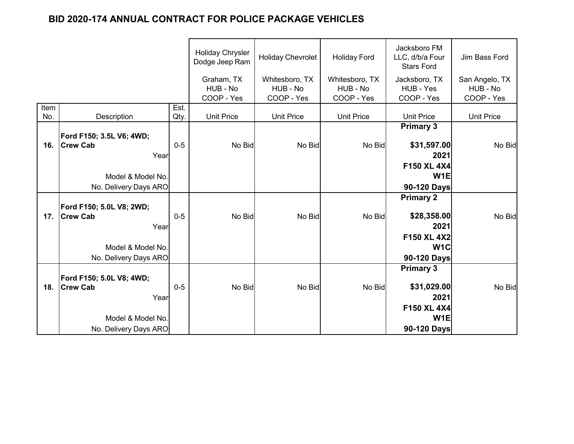|      |                          |              | <b>Holiday Chrysler</b><br>Dodge Jeep Ram | <b>Holiday Chevrolet</b>   | <b>Holiday Ford</b>        | Jacksboro FM<br>LLC, d/b/a Four<br><b>Stars Ford</b> | Jim Bass Ford              |
|------|--------------------------|--------------|-------------------------------------------|----------------------------|----------------------------|------------------------------------------------------|----------------------------|
|      |                          |              | Graham, TX<br>HUB - No                    | Whitesboro, TX<br>HUB - No | Whitesboro, TX<br>HUB - No | Jacksboro, TX<br>HUB - Yes                           | San Angelo, TX<br>HUB - No |
| Item |                          |              | COOP - Yes                                | COOP - Yes                 | COOP - Yes                 | COOP - Yes                                           | COOP - Yes                 |
| No.  | <b>Description</b>       | Est.<br>Qty. | <b>Unit Price</b>                         | <b>Unit Price</b>          | <b>Unit Price</b>          | <b>Unit Price</b>                                    | <b>Unit Price</b>          |
|      |                          |              |                                           |                            |                            | <b>Primary 3</b>                                     |                            |
|      | Ford F150; 3.5L V6; 4WD; |              |                                           |                            |                            |                                                      |                            |
| 16.  | <b>Crew Cab</b>          | $0-5$        | No Bid                                    | No Bid                     | No Bid                     | \$31,597.00                                          | No Bid                     |
|      | Year                     |              |                                           |                            |                            | 2021                                                 |                            |
|      |                          |              |                                           |                            |                            | F150 XL 4X4                                          |                            |
|      | Model & Model No.        |              |                                           |                            |                            | W <sub>1E</sub>                                      |                            |
|      | No. Delivery Days ARO    |              |                                           |                            |                            | 90-120 Days                                          |                            |
|      |                          |              |                                           |                            |                            | <b>Primary 2</b>                                     |                            |
|      | Ford F150; 5.0L V8; 2WD; |              |                                           |                            |                            |                                                      |                            |
| 17.  | <b>Crew Cab</b>          | $0-5$        | No Bid                                    | No Bid                     | No Bid                     | \$28,358.00                                          | No Bid                     |
|      | Year                     |              |                                           |                            |                            | 2021                                                 |                            |
|      |                          |              |                                           |                            |                            | F150 XL 4X2                                          |                            |
|      | Model & Model No.        |              |                                           |                            |                            | W <sub>1</sub> C                                     |                            |
|      | No. Delivery Days ARO    |              |                                           |                            |                            | 90-120 Days                                          |                            |
|      |                          |              |                                           |                            |                            | <b>Primary 3</b>                                     |                            |
|      | Ford F150; 5.0L V8; 4WD; |              |                                           |                            |                            |                                                      |                            |
| 18.  | <b>Crew Cab</b>          | $0-5$        | No Bid                                    | No Bid                     | No Bid                     | \$31,029.00                                          | No Bid                     |
|      | Year                     |              |                                           |                            |                            | 2021                                                 |                            |
|      |                          |              |                                           |                            |                            | F150 XL 4X4                                          |                            |
|      | Model & Model No.        |              |                                           |                            |                            | W <sub>1</sub> E                                     |                            |
|      | No. Delivery Days ARO    |              |                                           |                            |                            | 90-120 Days                                          |                            |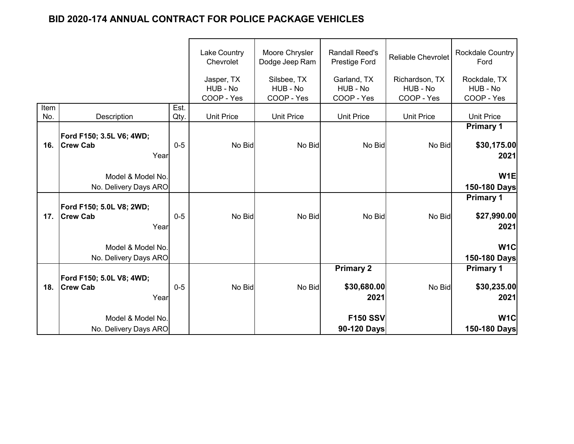|             |                                                     |              | Lake Country<br>Chevrolet            | Moore Chrysler<br>Dodge Jeep Ram      | <b>Randall Reed's</b><br>Prestige Ford | <b>Reliable Chevrolet</b>                | Rockdale Country<br>Ford               |
|-------------|-----------------------------------------------------|--------------|--------------------------------------|---------------------------------------|----------------------------------------|------------------------------------------|----------------------------------------|
|             |                                                     |              | Jasper, TX<br>HUB - No<br>COOP - Yes | Silsbee, TX<br>HUB - No<br>COOP - Yes | Garland, TX<br>HUB - No<br>COOP - Yes  | Richardson, TX<br>HUB - No<br>COOP - Yes | Rockdale, TX<br>HUB - No<br>COOP - Yes |
| Item<br>No. | Description                                         | Est.<br>Qty. | <b>Unit Price</b>                    | <b>Unit Price</b>                     | <b>Unit Price</b>                      | <b>Unit Price</b>                        | <b>Unit Price</b>                      |
|             |                                                     |              |                                      |                                       |                                        |                                          | <b>Primary 1</b>                       |
| 16.         | Ford F150; 3.5L V6; 4WD;<br><b>Crew Cab</b><br>Year | $0-5$        | No Bid                               | No Bid                                | No Bid                                 | No Bid                                   | \$30,175.00<br>2021                    |
|             | Model & Model No.<br>No. Delivery Days ARO          |              |                                      |                                       |                                        |                                          | W <sub>1E</sub><br>150-180 Days        |
|             | Ford F150; 5.0L V8; 2WD;                            |              |                                      |                                       |                                        |                                          | <b>Primary 1</b>                       |
| 17.         | <b>Crew Cab</b><br>Year                             | $0 - 5$      | No Bid                               | No Bid                                | No Bid                                 | No Bid                                   | \$27,990.00<br>2021                    |
|             | Model & Model No.<br>No. Delivery Days ARO          |              |                                      |                                       |                                        |                                          | W <sub>1</sub> C<br>150-180 Days       |
|             | Ford F150; 5.0L V8; 4WD;                            |              |                                      |                                       | <b>Primary 2</b>                       |                                          | <b>Primary 1</b>                       |
| 18.         | <b>Crew Cab</b><br>Year                             | $0 - 5$      | No Bid                               | No Bid                                | \$30,680.00<br>2021                    | No Bid                                   | \$30,235.00<br>2021                    |
|             | Model & Model No.                                   |              |                                      |                                       | <b>F150 SSV</b>                        |                                          | W <sub>1</sub> C                       |
|             | No. Delivery Days ARO                               |              |                                      |                                       | 90-120 Days                            |                                          | 150-180 Days                           |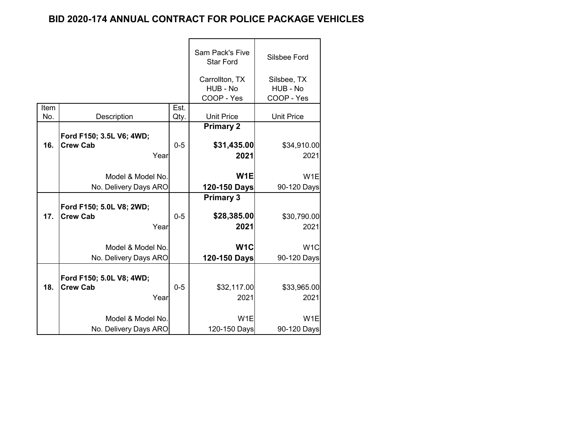|      |                          |         | Sam Pack's Five<br><b>Star Ford</b>      | Silsbee Ford                          |
|------|--------------------------|---------|------------------------------------------|---------------------------------------|
|      |                          |         | Carrollton, TX<br>HUB - No<br>COOP - Yes | Silsbee, TX<br>HUB - No<br>COOP - Yes |
| Item |                          | Est.    |                                          |                                       |
| No.  | Description              | Qty.    | <b>Unit Price</b>                        | <b>Unit Price</b>                     |
|      | Ford F150; 3.5L V6; 4WD; |         | <b>Primary 2</b>                         |                                       |
| 16.  | <b>Crew Cab</b>          | $0 - 5$ | \$31,435.00                              | \$34,910.00                           |
|      | Year                     |         | 2021                                     | 2021                                  |
|      |                          |         |                                          |                                       |
|      | Model & Model No.        |         | W <sub>1E</sub>                          | W <sub>1</sub> E                      |
|      | No. Delivery Days ARO    |         | 120-150 Days                             | 90-120 Days                           |
|      |                          |         | <b>Primary 3</b>                         |                                       |
|      | Ford F150; 5.0L V8; 2WD; |         |                                          |                                       |
| 17.  | <b>Crew Cab</b>          | $0 - 5$ | \$28,385.00                              | \$30,790.00                           |
|      | Year                     |         | 2021                                     | 2021                                  |
|      |                          |         |                                          |                                       |
|      | Model & Model No.        |         | W <sub>1</sub> C                         | W <sub>1</sub> C                      |
|      | No. Delivery Days ARO    |         | 120-150 Days                             | 90-120 Days                           |
|      | Ford F150; 5.0L V8; 4WD; |         |                                          |                                       |
| 18.  | <b>Crew Cab</b>          | $0 - 5$ | \$32,117.00                              | \$33,965.00                           |
|      | Year                     |         | 2021                                     | 2021                                  |
|      | Model & Model No.        |         | W <sub>1</sub> E                         | W <sub>1</sub> E                      |
|      | No. Delivery Days ARO    |         | 120-150 Days                             | 90-120 Days                           |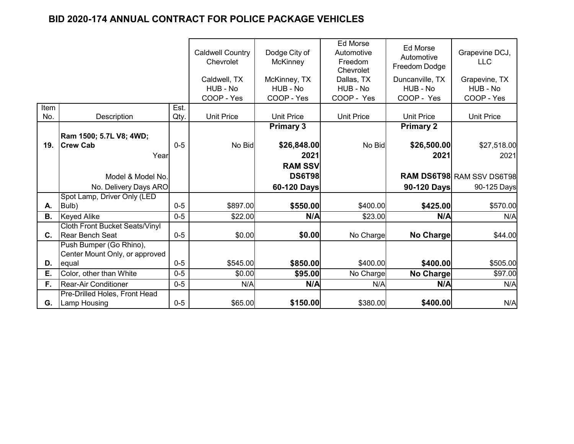|      |                                       |         | <b>Caldwell Country</b><br>Chevrolet | Dodge City of<br><b>McKinney</b> | <b>Ed Morse</b><br>Automotive<br>Freedom<br>Chevrolet | Ed Morse<br>Automotive<br>Freedom Dodge | Grapevine DCJ,<br><b>LLC</b>     |
|------|---------------------------------------|---------|--------------------------------------|----------------------------------|-------------------------------------------------------|-----------------------------------------|----------------------------------|
|      |                                       |         | Caldwell, TX                         | McKinney, TX                     | Dallas, TX                                            | Duncanville, TX                         | Grapevine, TX                    |
|      |                                       |         | HUB - No                             | HUB - No                         | HUB - No                                              | HUB - No                                | HUB - No                         |
|      |                                       |         | COOP - Yes                           | COOP - Yes                       | COOP - Yes                                            | COOP - Yes                              | COOP - Yes                       |
| Item |                                       | Est.    |                                      |                                  |                                                       |                                         |                                  |
| No.  | Description                           | Qty.    | <b>Unit Price</b>                    | <b>Unit Price</b>                | <b>Unit Price</b>                                     | <b>Unit Price</b>                       | <b>Unit Price</b>                |
|      |                                       |         |                                      | <b>Primary 3</b>                 |                                                       | <b>Primary 2</b>                        |                                  |
|      | Ram 1500; 5.7L V8; 4WD;               |         |                                      |                                  |                                                       |                                         |                                  |
| 19.  | <b>Crew Cab</b>                       | $0 - 5$ | No Bid                               | \$26,848.00                      | No Bid                                                | \$26,500.00                             | \$27,518.00                      |
|      | Year                                  |         |                                      | 2021                             |                                                       | 2021                                    | 2021                             |
|      |                                       |         |                                      | <b>RAM SSV</b>                   |                                                       |                                         |                                  |
|      | Model & Model No.                     |         |                                      | <b>DS6T98</b>                    |                                                       |                                         | <b>RAM DS6T98 RAM SSV DS6T98</b> |
|      | No. Delivery Days ARO                 |         |                                      | 60-120 Days                      |                                                       | 90-120 Days                             | 90-125 Days                      |
|      | Spot Lamp, Driver Only (LED           |         |                                      |                                  |                                                       |                                         |                                  |
| А.   | Bulb)                                 | $0 - 5$ | \$897.00                             | \$550.00                         | \$400.00                                              | \$425.00                                | \$570.00                         |
| В.   | <b>Keyed Alike</b>                    | $0 - 5$ | \$22.00                              | N/A                              | \$23.00                                               | N/A                                     | N/A                              |
|      | <b>Cloth Front Bucket Seats/Vinyl</b> |         |                                      |                                  |                                                       |                                         |                                  |
| C.   | Rear Bench Seat                       | $0-5$   | \$0.00                               | \$0.00                           | No Charge                                             | No Charge                               | \$44.00                          |
|      | Push Bumper (Go Rhino),               |         |                                      |                                  |                                                       |                                         |                                  |
|      | Center Mount Only, or approved        |         |                                      |                                  |                                                       |                                         |                                  |
| D.   | equal                                 | $0 - 5$ | \$545.00                             | \$850.00                         | \$400.00                                              | \$400.00                                | \$505.00                         |
| Ε.   | Color, other than White               | $0 - 5$ | \$0.00                               | \$95.00                          | No Charge                                             | <b>No Charge</b>                        | \$97.00                          |
| F.   | <b>Rear-Air Conditioner</b>           | $0 - 5$ | N/A                                  | N/A                              | N/A                                                   | N/A                                     | N/A                              |
|      | Pre-Drilled Holes, Front Head         |         |                                      |                                  |                                                       |                                         |                                  |
| G.   | <b>Lamp Housing</b>                   | $0 - 5$ | \$65.00                              | \$150.00                         | \$380.00                                              | \$400.00                                | N/A                              |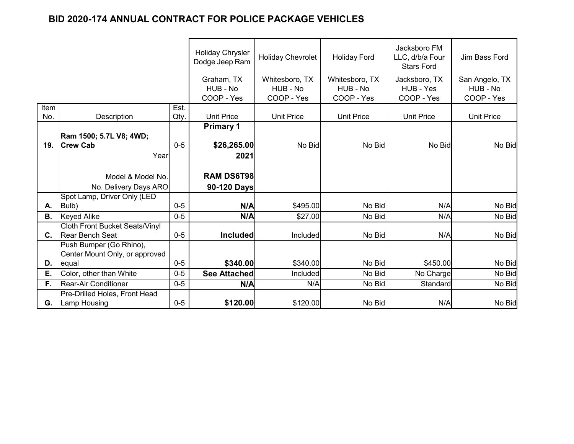|                |                                       |         | <b>Holiday Chrysler</b><br>Dodge Jeep Ram | <b>Holiday Chevrolet</b> | <b>Holiday Ford</b> | Jacksboro FM<br>LLC, d/b/a Four<br><b>Stars Ford</b> | Jim Bass Ford     |
|----------------|---------------------------------------|---------|-------------------------------------------|--------------------------|---------------------|------------------------------------------------------|-------------------|
|                |                                       |         | Graham, TX                                | Whitesboro, TX           | Whitesboro, TX      | Jacksboro, TX                                        | San Angelo, TX    |
|                |                                       |         | HUB - No                                  | HUB - No                 | HUB - No            | HUB - Yes                                            | HUB - No          |
|                |                                       |         | COOP - Yes                                | COOP - Yes               | COOP - Yes          | COOP - Yes                                           | COOP - Yes        |
| Item           |                                       | Est.    |                                           |                          |                     |                                                      |                   |
| No.            | Description                           | Qty.    | <b>Unit Price</b>                         | <b>Unit Price</b>        | <b>Unit Price</b>   | <b>Unit Price</b>                                    | <b>Unit Price</b> |
|                |                                       |         | <b>Primary 1</b>                          |                          |                     |                                                      |                   |
|                | Ram 1500; 5.7L V8; 4WD;               |         |                                           |                          |                     |                                                      |                   |
| 19.            | <b>Crew Cab</b>                       | $0-5$   | \$26,265.00                               | No Bid                   | No Bid              | No Bid                                               | No Bid            |
|                | Year                                  |         | 2021                                      |                          |                     |                                                      |                   |
|                |                                       |         |                                           |                          |                     |                                                      |                   |
|                | Model & Model No.                     |         | <b>RAM DS6T98</b>                         |                          |                     |                                                      |                   |
|                | No. Delivery Days ARO                 |         | 90-120 Days                               |                          |                     |                                                      |                   |
|                | Spot Lamp, Driver Only (LED           |         |                                           |                          |                     |                                                      |                   |
| А.             | Bulb)                                 | $0 - 5$ | N/A                                       | \$495.00                 | No Bid              | N/A                                                  | No Bid            |
| <b>B.</b>      | <b>Keyed Alike</b>                    | $0 - 5$ | N/A                                       | \$27.00                  | No Bid              | N/A                                                  | No Bid            |
|                | <b>Cloth Front Bucket Seats/Vinyl</b> |         |                                           |                          |                     |                                                      |                   |
| $\mathbf{C}$ . | Rear Bench Seat                       | $0-5$   | <b>Included</b>                           | Included                 | No Bid              | N/A                                                  | No Bid            |
|                | Push Bumper (Go Rhino),               |         |                                           |                          |                     |                                                      |                   |
|                | Center Mount Only, or approved        |         |                                           |                          |                     |                                                      |                   |
| D.             | equal                                 | $0 - 5$ | \$340.00                                  | \$340.00                 | No Bid              | \$450.00                                             | No Bid            |
| Ε.             | Color, other than White               | $0 - 5$ | <b>See Attached</b>                       | Included                 | No Bid              | No Charge                                            | No Bid            |
| F.             | <b>Rear-Air Conditioner</b>           | $0-5$   | N/A                                       | N/A                      | No Bid              | Standard                                             | No Bid            |
|                | Pre-Drilled Holes, Front Head         |         |                                           |                          |                     |                                                      |                   |
| G.             | <b>Lamp Housing</b>                   | $0 - 5$ | \$120.00                                  | \$120.00                 | No Bid              | N/A                                                  | No Bid            |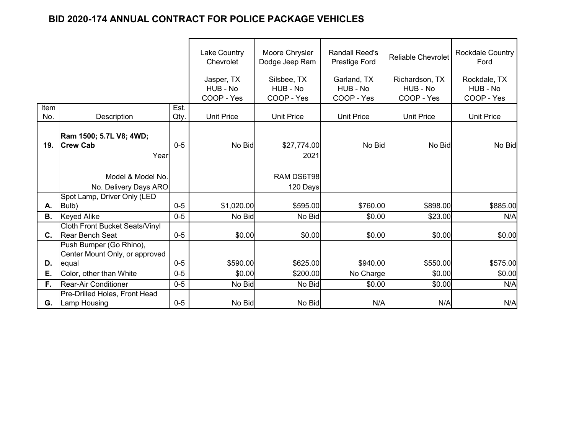|           |                                                                  |         | <b>Lake Country</b><br>Chevrolet | Moore Chrysler<br>Dodge Jeep Ram | <b>Randall Reed's</b><br>Prestige Ford | <b>Reliable Chevrolet</b>  | <b>Rockdale Country</b><br>Ford |
|-----------|------------------------------------------------------------------|---------|----------------------------------|----------------------------------|----------------------------------------|----------------------------|---------------------------------|
|           |                                                                  |         | Jasper, TX<br>HUB - No           | Silsbee, TX<br>HUB - No          | Garland, TX<br>HUB - No                | Richardson, TX<br>HUB - No | Rockdale, TX<br>HUB - No        |
|           |                                                                  |         | COOP - Yes                       | COOP - Yes                       | COOP - Yes                             | COOP - Yes                 | COOP - Yes                      |
| Item      |                                                                  | Est.    |                                  |                                  |                                        |                            |                                 |
| No.       | Description                                                      | Qty.    | <b>Unit Price</b>                | <b>Unit Price</b>                | <b>Unit Price</b>                      | <b>Unit Price</b>          | <b>Unit Price</b>               |
| 19.       | Ram 1500; 5.7L V8; 4WD;<br><b>Crew Cab</b>                       | $0-5$   | No Bid                           | \$27,774.00                      | No Bid                                 | No Bid                     | No Bid                          |
|           | Year                                                             |         |                                  | 2021                             |                                        |                            |                                 |
|           | Model & Model No.                                                |         |                                  | RAM DS6T98                       |                                        |                            |                                 |
|           | No. Delivery Days ARO                                            |         |                                  | 120 Days                         |                                        |                            |                                 |
|           | Spot Lamp, Driver Only (LED                                      |         |                                  |                                  |                                        |                            |                                 |
| А.        | Bulb)                                                            | $0 - 5$ | \$1,020.00                       | \$595.00                         | \$760.00                               | \$898.00                   | \$885.00                        |
| <b>B.</b> | <b>Keyed Alike</b>                                               | $0-5$   | No Bid                           | No Bid                           | \$0.00                                 | \$23.00                    | N/A                             |
| C.        | <b>Cloth Front Bucket Seats/Vinyl</b><br><b>IRear Bench Seat</b> | $0-5$   | \$0.00                           | \$0.00                           | \$0.00                                 | \$0.00                     | \$0.00                          |
|           | Push Bumper (Go Rhino),<br>Center Mount Only, or approved        |         |                                  |                                  |                                        |                            |                                 |
| D.        | equal                                                            | $0 - 5$ | \$590.00                         | \$625.00                         | \$940.00                               | \$550.00                   | \$575.00                        |
| Ε.        | Color, other than White                                          | $0 - 5$ | \$0.00                           | \$200.00                         | No Charge                              | \$0.00                     | \$0.00                          |
| F.        | <b>Rear-Air Conditioner</b>                                      | $0-5$   | No Bid                           | No Bid                           | \$0.00                                 | \$0.00                     | N/A                             |
| G.        | Pre-Drilled Holes, Front Head<br><b>Lamp Housing</b>             | $0 - 5$ | No Bid                           | No Bid                           | N/A                                    | N/A                        | N/A                             |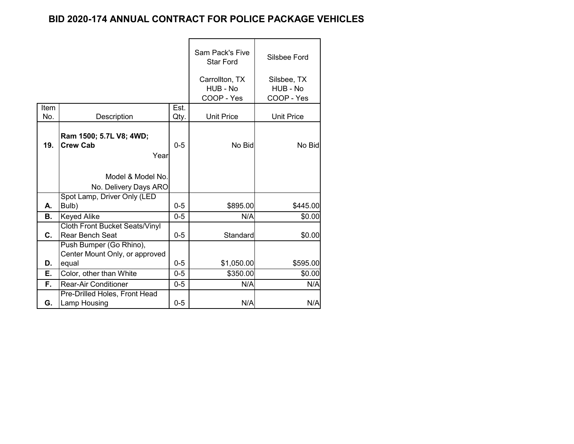|           |                                                                    |         | <b>Sam Pack's Five</b><br><b>Star Ford</b> | Silsbee Ford                          |
|-----------|--------------------------------------------------------------------|---------|--------------------------------------------|---------------------------------------|
|           |                                                                    |         | Carrollton, TX<br>HUB - No<br>COOP - Yes   | Silsbee, TX<br>HUB - No<br>COOP - Yes |
| Item      |                                                                    | Est.    |                                            |                                       |
| No.       | Description                                                        | Qty.    | <b>Unit Price</b>                          | <b>Unit Price</b>                     |
| 19.       | Ram 1500; 5.7L V8; 4WD;<br><b>Crew Cab</b><br>Year                 | $0 - 5$ | No Bid                                     | No Bid                                |
|           | Model & Model No.                                                  |         |                                            |                                       |
|           | No. Delivery Days ARO                                              |         |                                            |                                       |
|           | Spot Lamp, Driver Only (LED                                        |         |                                            |                                       |
| А.        | Bulb)                                                              | $0 - 5$ | \$895.00                                   | \$445.00                              |
| <b>B.</b> | <b>Keyed Alike</b>                                                 | $0 - 5$ | N/A                                        | \$0.00                                |
| C.        | <b>Cloth Front Bucket Seats/Vinyl</b><br><b>Rear Bench Seat</b>    | $0 - 5$ | Standard                                   | \$0.00                                |
| D.        | Push Bumper (Go Rhino),<br>Center Mount Only, or approved<br>equal | $0-5$   | \$1,050.00                                 | \$595.00                              |
| Е.        | Color, other than White                                            | $0 - 5$ | \$350.00                                   | \$0.00                                |
| F.        | <b>Rear-Air Conditioner</b>                                        | $0 - 5$ | N/A                                        | N/A                                   |
| G.        | Pre-Drilled Holes, Front Head<br>Lamp Housing                      | $0 - 5$ | N/A                                        | N/A                                   |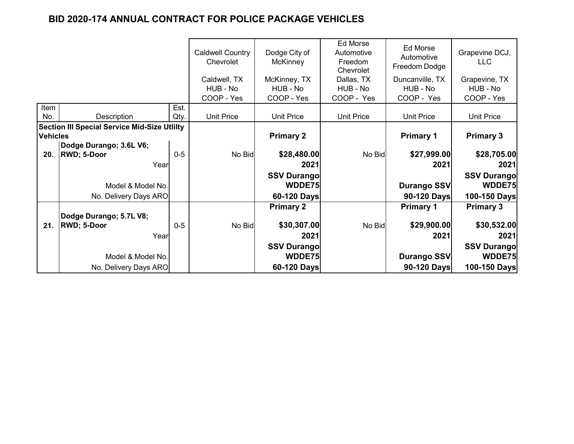|                 |                                                     |       | <b>Caldwell Country</b><br>Chevrolet | Dodge City of<br>McKinney | Ed Morse<br>Automotive<br>Freedom<br>Chevrolet | Ed Morse<br>Automotive<br>Freedom Dodge | Grapevine DCJ,<br><b>LLC</b> |
|-----------------|-----------------------------------------------------|-------|--------------------------------------|---------------------------|------------------------------------------------|-----------------------------------------|------------------------------|
|                 |                                                     |       | Caldwell, TX                         | McKinney, TX              | Dallas, TX                                     | Duncanville, TX                         | Grapevine, TX                |
|                 |                                                     |       | HUB - No                             | HUB - No                  | HUB - No                                       | HUB - No                                | HUB - No                     |
|                 |                                                     |       | COOP - Yes                           | COOP - Yes                | COOP - Yes                                     | COOP - Yes                              | COOP - Yes                   |
| Item            |                                                     | Est.  |                                      |                           |                                                |                                         |                              |
| No.             | Description                                         | Qty.  | <b>Unit Price</b>                    | <b>Unit Price</b>         | <b>Unit Price</b>                              | <b>Unit Price</b>                       | <b>Unit Price</b>            |
|                 | <b>Section III Special Service Mid-Size Utlilty</b> |       |                                      |                           |                                                |                                         |                              |
| <b>Vehicles</b> |                                                     |       |                                      | <b>Primary 2</b>          |                                                | <b>Primary 1</b>                        | <b>Primary 3</b>             |
|                 | Dodge Durango; 3.6L V6;                             |       |                                      |                           |                                                |                                         |                              |
| 20.             | <b>RWD; 5-Door</b>                                  | $0-5$ | No Bid                               | \$28,480.00               | No Bid                                         | \$27,999.00                             | \$28,705.00                  |
|                 | Year                                                |       |                                      | 2021                      |                                                | 2021                                    | 2021                         |
|                 |                                                     |       |                                      | <b>SSV Durangol</b>       |                                                |                                         | <b>SSV Durango</b>           |
|                 | Model & Model No.                                   |       |                                      | WDDE75                    |                                                | <b>Durango SSV</b>                      | WDDE75                       |
|                 | No. Delivery Days ARO                               |       |                                      | 60-120 Days               |                                                | 90-120 Days                             | 100-150 Days                 |
|                 |                                                     |       |                                      | <b>Primary 2</b>          |                                                | <b>Primary 1</b>                        | <b>Primary 3</b>             |
|                 | Dodge Durango; 5.7L V8;                             |       |                                      |                           |                                                |                                         |                              |
| 21.             | <b>RWD; 5-Door</b>                                  | $0-5$ | No Bid                               | \$30,307.00               | No Bid                                         | \$29,900.00                             | \$30,532.00                  |
|                 | Year                                                |       |                                      | 2021                      |                                                | 2021                                    | 2021                         |
|                 |                                                     |       |                                      | <b>SSV Durangol</b>       |                                                |                                         | <b>SSV Durango</b>           |
|                 | Model & Model No.                                   |       |                                      | WDDE75                    |                                                | <b>Durango SSV</b>                      | WDDE75                       |
|                 | No. Delivery Days ARO                               |       |                                      | 60-120 Days               |                                                | 90-120 Days                             | 100-150 Days                 |
|                 |                                                     |       |                                      |                           |                                                |                                         |                              |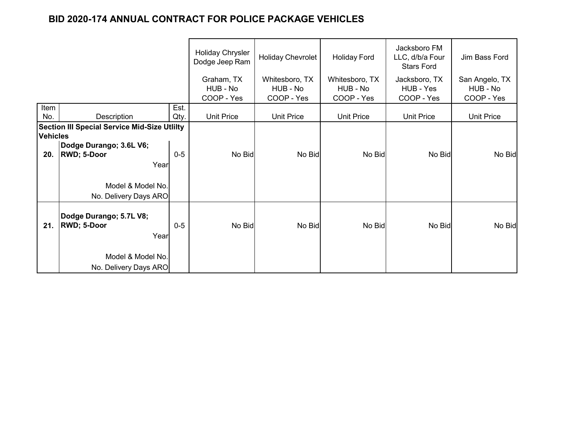|                 |                                                     |       | <b>Holiday Chrysler</b><br>Dodge Jeep Ram | <b>Holiday Chevrolet</b> | <b>Holiday Ford</b> | Jacksboro FM<br>LLC, d/b/a Four<br><b>Stars Ford</b> | Jim Bass Ford     |
|-----------------|-----------------------------------------------------|-------|-------------------------------------------|--------------------------|---------------------|------------------------------------------------------|-------------------|
|                 |                                                     |       | Graham, TX                                | Whitesboro, TX           | Whitesboro, TX      | Jacksboro, TX                                        | San Angelo, TX    |
|                 |                                                     |       | HUB - No                                  | HUB - No                 | HUB - No            | HUB - Yes                                            | HUB - No          |
|                 |                                                     |       | COOP - Yes                                | COOP - Yes               | COOP - Yes          | COOP - Yes                                           | COOP - Yes        |
| Item            |                                                     | Est.  |                                           |                          |                     |                                                      |                   |
| No.             | Description                                         | Qty.  | <b>Unit Price</b>                         | <b>Unit Price</b>        | <b>Unit Price</b>   | <b>Unit Price</b>                                    | <b>Unit Price</b> |
|                 | <b>Section III Special Service Mid-Size Utlilty</b> |       |                                           |                          |                     |                                                      |                   |
| <b>Vehicles</b> |                                                     |       |                                           |                          |                     |                                                      |                   |
|                 | Dodge Durango; 3.6L V6;                             |       |                                           |                          |                     |                                                      |                   |
| 20.             | <b>RWD; 5-Door</b>                                  | $0-5$ | No Bid                                    | No Bid                   | No Bid              | No Bid                                               | No Bid            |
|                 | Year                                                |       |                                           |                          |                     |                                                      |                   |
|                 | Model & Model No.                                   |       |                                           |                          |                     |                                                      |                   |
|                 | No. Delivery Days ARO                               |       |                                           |                          |                     |                                                      |                   |
|                 |                                                     |       |                                           |                          |                     |                                                      |                   |
|                 | Dodge Durango; 5.7L V8;                             |       |                                           |                          |                     |                                                      |                   |
| 21.             | <b>RWD; 5-Door</b>                                  | $0-5$ | No Bid                                    | No Bid                   | No Bid              | No Bid                                               | No Bid            |
|                 |                                                     |       |                                           |                          |                     |                                                      |                   |
|                 | Year                                                |       |                                           |                          |                     |                                                      |                   |
|                 | Model & Model No.                                   |       |                                           |                          |                     |                                                      |                   |
|                 |                                                     |       |                                           |                          |                     |                                                      |                   |
|                 | No. Delivery Days ARO                               |       |                                           |                          |                     |                                                      |                   |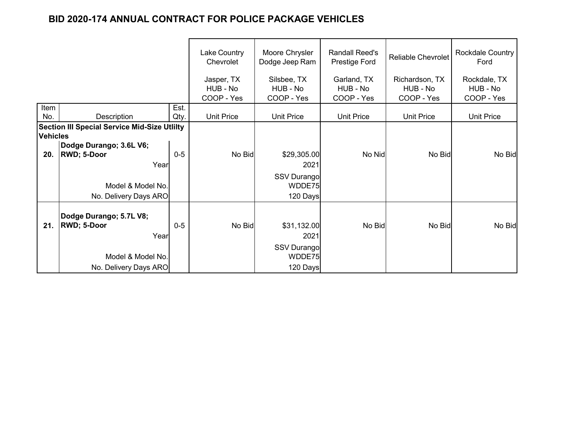|                 |                                                     |       | Lake Country<br>Chevrolet            | Moore Chrysler<br>Dodge Jeep Ram      | <b>Randall Reed's</b><br>Prestige Ford | <b>Reliable Chevrolet</b>                | <b>Rockdale Country</b><br>Ford        |
|-----------------|-----------------------------------------------------|-------|--------------------------------------|---------------------------------------|----------------------------------------|------------------------------------------|----------------------------------------|
|                 |                                                     |       | Jasper, TX<br>HUB - No<br>COOP - Yes | Silsbee, TX<br>HUB - No<br>COOP - Yes | Garland, TX<br>HUB - No<br>COOP - Yes  | Richardson, TX<br>HUB - No<br>COOP - Yes | Rockdale, TX<br>HUB - No<br>COOP - Yes |
| Item            |                                                     | Est.  |                                      |                                       |                                        |                                          |                                        |
| No.             | Description                                         | Qty.  | <b>Unit Price</b>                    | <b>Unit Price</b>                     | <b>Unit Price</b>                      | <b>Unit Price</b>                        | Unit Price                             |
|                 | <b>Section III Special Service Mid-Size Utlilty</b> |       |                                      |                                       |                                        |                                          |                                        |
| <b>Vehicles</b> |                                                     |       |                                      |                                       |                                        |                                          |                                        |
|                 | Dodge Durango; 3.6L V6;                             |       |                                      |                                       |                                        |                                          |                                        |
| 20.             | <b>RWD; 5-Door</b>                                  | $0-5$ | No Bid                               | \$29,305.00                           | No Nid                                 | No Bid                                   | No Bid                                 |
|                 | Year                                                |       |                                      | 2021                                  |                                        |                                          |                                        |
|                 |                                                     |       |                                      | <b>SSV Durango</b>                    |                                        |                                          |                                        |
|                 | Model & Model No.                                   |       |                                      | WDDE75                                |                                        |                                          |                                        |
|                 | No. Delivery Days ARO                               |       |                                      | 120 Days                              |                                        |                                          |                                        |
|                 | Dodge Durango; 5.7L V8;                             |       |                                      |                                       |                                        |                                          |                                        |
| 21.             | <b>RWD; 5-Door</b>                                  | $0-5$ | No Bid                               | \$31,132.00                           | No Bid                                 | No Bid                                   | No Bid                                 |
|                 | Year                                                |       |                                      | 2021                                  |                                        |                                          |                                        |
|                 |                                                     |       |                                      | <b>SSV Durango</b>                    |                                        |                                          |                                        |
|                 | Model & Model No.                                   |       |                                      | WDDE75                                |                                        |                                          |                                        |
|                 | No. Delivery Days ARO                               |       |                                      | 120 Days                              |                                        |                                          |                                        |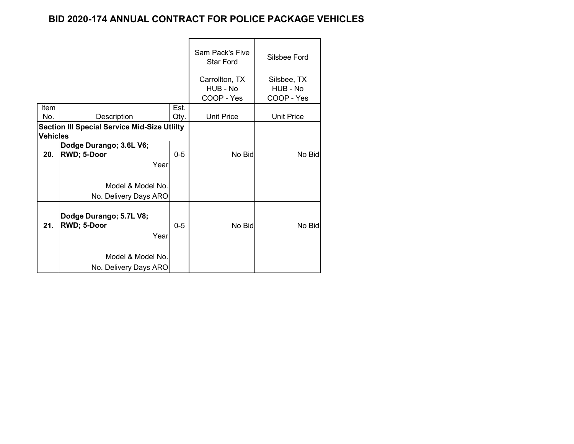|                 |                                                     |         | Sam Pack's Five<br><b>Star Ford</b> | Silsbee Ford            |
|-----------------|-----------------------------------------------------|---------|-------------------------------------|-------------------------|
|                 |                                                     |         | Carrollton, TX<br>HUB - No          | Silsbee, TX<br>HUB - No |
|                 |                                                     |         | COOP - Yes                          | COOP - Yes              |
| Item            |                                                     | Est.    |                                     |                         |
| No.             | Description                                         | Qty.    | <b>Unit Price</b>                   | <b>Unit Price</b>       |
| <b>Vehicles</b> | <b>Section III Special Service Mid-Size Utlilty</b> |         |                                     |                         |
|                 | Dodge Durango; 3.6L V6;                             |         |                                     |                         |
| 20.             | RWD; 5-Door                                         | $0 - 5$ | No Bid                              | No Bid                  |
|                 | Year                                                |         |                                     |                         |
|                 | Model & Model No.                                   |         |                                     |                         |
|                 | No. Delivery Days ARO                               |         |                                     |                         |
| 21.             | Dodge Durango; 5.7L V8;<br>RWD; 5-Door<br>Year      | $0-5$   | No Bid                              | No Bid                  |
|                 | Model & Model No.<br>No. Delivery Days ARO          |         |                                     |                         |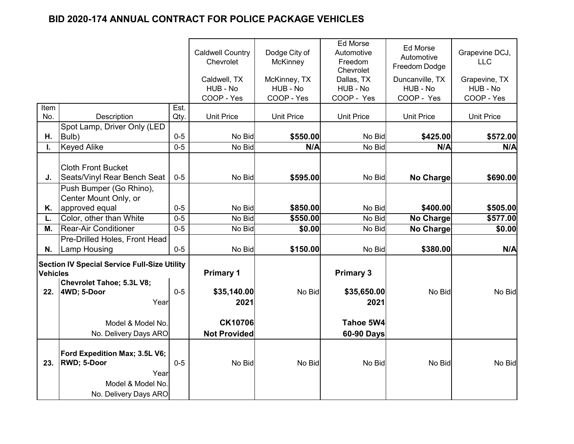|                 |                                                                                                    |         | <b>Caldwell Country</b><br>Chevrolet<br>Caldwell, TX<br>HUB - No<br>COOP - Yes | Dodge City of<br><b>McKinney</b><br>McKinney, TX<br>HUB - No<br>COOP - Yes | <b>Ed Morse</b><br>Automotive<br>Freedom<br>Chevrolet<br>Dallas, TX<br>HUB - No<br>COOP - Yes | Ed Morse<br>Automotive<br>Freedom Dodge<br>Duncanville, TX<br>HUB - No<br>COOP - Yes | Grapevine DCJ,<br><b>LLC</b><br>Grapevine, TX<br>HUB - No<br>COOP - Yes |
|-----------------|----------------------------------------------------------------------------------------------------|---------|--------------------------------------------------------------------------------|----------------------------------------------------------------------------|-----------------------------------------------------------------------------------------------|--------------------------------------------------------------------------------------|-------------------------------------------------------------------------|
| Item            |                                                                                                    | Est.    |                                                                                |                                                                            |                                                                                               |                                                                                      |                                                                         |
| No.             | Description                                                                                        | Qty.    | <b>Unit Price</b>                                                              | <b>Unit Price</b>                                                          | <b>Unit Price</b>                                                                             | <b>Unit Price</b>                                                                    | <b>Unit Price</b>                                                       |
| Η.              | Spot Lamp, Driver Only (LED<br>Bulb)                                                               | $0-5$   | No Bid                                                                         | \$550.00                                                                   | No Bid                                                                                        | \$425.00                                                                             | \$572.00                                                                |
|                 | <b>Keyed Alike</b>                                                                                 | $0 - 5$ | No Bid                                                                         | N/A                                                                        | No Bid                                                                                        | N/A                                                                                  | N/A                                                                     |
| J.              | <b>Cloth Front Bucket</b><br>Seats/Vinyl Rear Bench Seat<br>Push Bumper (Go Rhino),                | $0-5$   | No Bid                                                                         | \$595.00                                                                   | No Bid                                                                                        | No Charge                                                                            | \$690.00                                                                |
|                 | Center Mount Only, or                                                                              | $0 - 5$ |                                                                                |                                                                            |                                                                                               | \$400.00                                                                             |                                                                         |
| Κ.              | approved equal<br>Color, other than White                                                          | $0 - 5$ | No Bid<br>No Bid                                                               | \$850.00                                                                   | No Bid<br>No Bid                                                                              |                                                                                      | \$505.00                                                                |
| L.              |                                                                                                    |         |                                                                                | \$550.00                                                                   |                                                                                               | No Charge                                                                            | \$577.00<br>\$0.00                                                      |
| М.              | <b>Rear-Air Conditioner</b>                                                                        | $0-5$   | No Bid                                                                         | \$0.00                                                                     | No Bid                                                                                        | <b>No Charge</b>                                                                     |                                                                         |
| N.              | Pre-Drilled Holes, Front Head<br>Lamp Housing                                                      | $0-5$   | No Bid                                                                         | \$150.00                                                                   | No Bid                                                                                        | \$380.00                                                                             | N/A                                                                     |
| <b>Vehicles</b> | <b>Section IV Special Service Full-Size Utility</b><br>Chevrolet Tahoe; 5.3L V8;                   | $0 - 5$ | <b>Primary 1</b>                                                               |                                                                            | <b>Primary 3</b>                                                                              | No Bid                                                                               |                                                                         |
| 22.             | 4WD; 5-Door<br>Year                                                                                |         | \$35,140.00<br>2021                                                            | No Bid                                                                     | \$35,650.00<br>2021                                                                           |                                                                                      | No Bid                                                                  |
|                 | Model & Model No.                                                                                  |         | <b>CK10706</b>                                                                 |                                                                            | Tahoe 5W4                                                                                     |                                                                                      |                                                                         |
|                 | No. Delivery Days ARO                                                                              |         | <b>Not Provided</b>                                                            |                                                                            | 60-90 Days                                                                                    |                                                                                      |                                                                         |
| 23.             | Ford Expedition Max; 3.5L V6;<br>RWD; 5-Door<br>Year<br>Model & Model No.<br>No. Delivery Days ARO | $0-5$   | No Bid                                                                         | No Bid                                                                     | No Bid                                                                                        | No Bid                                                                               | No Bid                                                                  |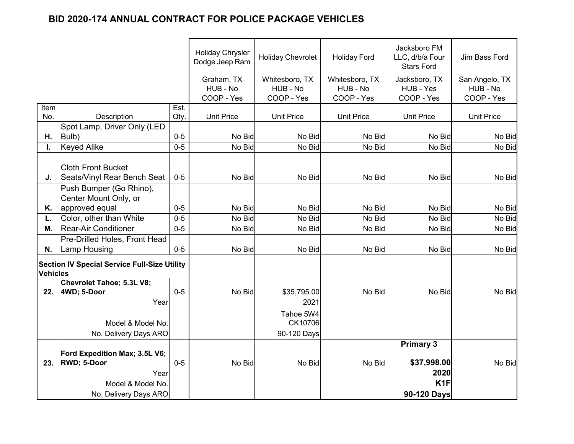|                 |                                                                                  |         | <b>Holiday Chrysler</b><br>Dodge Jeep Ram | <b>Holiday Chevrolet</b>                 | <b>Holiday Ford</b>                      | Jacksboro FM<br>LLC, d/b/a Four<br><b>Stars Ford</b> | Jim Bass Ford                            |
|-----------------|----------------------------------------------------------------------------------|---------|-------------------------------------------|------------------------------------------|------------------------------------------|------------------------------------------------------|------------------------------------------|
|                 |                                                                                  |         | Graham, TX<br>HUB - No<br>COOP - Yes      | Whitesboro, TX<br>HUB - No<br>COOP - Yes | Whitesboro, TX<br>HUB - No<br>COOP - Yes | Jacksboro, TX<br>HUB - Yes<br>COOP - Yes             | San Angelo, TX<br>HUB - No<br>COOP - Yes |
| Item            |                                                                                  | Est.    |                                           |                                          |                                          |                                                      |                                          |
| No.             | Description                                                                      | Qty.    | <b>Unit Price</b>                         | <b>Unit Price</b>                        | <b>Unit Price</b>                        | <b>Unit Price</b>                                    | <b>Unit Price</b>                        |
|                 | Spot Lamp, Driver Only (LED                                                      |         |                                           |                                          |                                          |                                                      |                                          |
| Η.              | Bulb)                                                                            | $0-5$   | No Bid                                    | No Bid                                   | No Bid                                   | No Bid                                               | No Bid                                   |
|                 | <b>Keyed Alike</b>                                                               | $0-5$   | No Bid                                    | No Bid                                   | No Bid                                   | No Bid                                               | No Bid                                   |
|                 |                                                                                  |         |                                           |                                          |                                          |                                                      |                                          |
|                 | <b>Cloth Front Bucket</b>                                                        |         |                                           |                                          |                                          |                                                      |                                          |
| J.              | Seats/Vinyl Rear Bench Seat                                                      | $0 - 5$ | No Bid                                    | No Bid                                   | No Bid                                   | No Bid                                               | No Bid                                   |
|                 | Push Bumper (Go Rhino),                                                          |         |                                           |                                          |                                          |                                                      |                                          |
|                 | Center Mount Only, or                                                            |         |                                           |                                          |                                          |                                                      |                                          |
| Κ.              | approved equal                                                                   | $0 - 5$ | No Bid                                    | No Bid                                   | No Bid                                   | No Bid                                               | No Bid                                   |
| L.              | Color, other than White                                                          | $0 - 5$ | No Bid                                    | No Bid                                   | No Bid                                   | No Bid                                               | No Bid                                   |
| М.              | <b>Rear-Air Conditioner</b>                                                      | $0-5$   | No Bid                                    | No Bid                                   | No Bid                                   | No Bid                                               | No Bid                                   |
|                 | Pre-Drilled Holes, Front Head                                                    |         |                                           |                                          |                                          |                                                      |                                          |
| N.              | <b>Lamp Housing</b>                                                              | $0 - 5$ | No Bid                                    | No Bid                                   | No Bid                                   | No Bid                                               | No Bid                                   |
| <b>Vehicles</b> | <b>Section IV Special Service Full-Size Utility</b><br>Chevrolet Tahoe; 5.3L V8; |         |                                           |                                          |                                          |                                                      |                                          |
| 22.             | 4WD; 5-Door                                                                      | $0 - 5$ | No Bid                                    | \$35,795.00                              | No Bid                                   | No Bid                                               | No Bid                                   |
|                 | Year                                                                             |         |                                           | 2021                                     |                                          |                                                      |                                          |
|                 |                                                                                  |         |                                           |                                          |                                          |                                                      |                                          |
|                 | Model & Model No.                                                                |         |                                           | Tahoe 5W4<br>CK10706                     |                                          |                                                      |                                          |
|                 |                                                                                  |         |                                           |                                          |                                          |                                                      |                                          |
|                 | No. Delivery Days ARO                                                            |         |                                           | 90-120 Days                              |                                          | <b>Primary 3</b>                                     |                                          |
|                 |                                                                                  |         |                                           |                                          |                                          |                                                      |                                          |
| 23.             | Ford Expedition Max; 3.5L V6;<br><b>RWD; 5-Door</b>                              | $0-5$   | No Bid                                    | No Bid                                   | No Bid                                   | \$37,998.00                                          | No Bid                                   |
|                 | Year                                                                             |         |                                           |                                          |                                          | 2020                                                 |                                          |
|                 | Model & Model No.                                                                |         |                                           |                                          |                                          | K <sub>1</sub> F                                     |                                          |
|                 | No. Delivery Days ARO                                                            |         |                                           |                                          |                                          |                                                      |                                          |
|                 |                                                                                  |         |                                           |                                          |                                          | 90-120 Days                                          |                                          |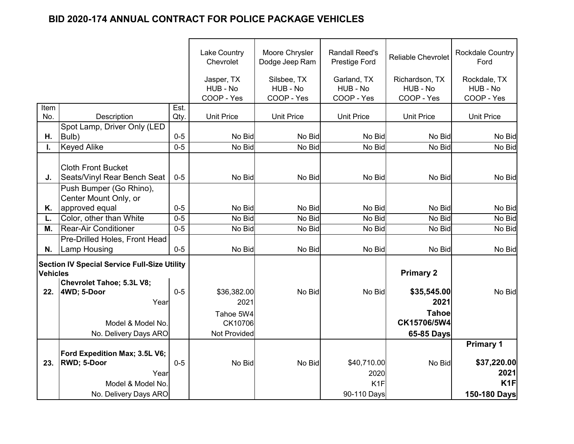|                 |                                                     |         | <b>Lake Country</b><br>Chevrolet     | Moore Chrysler<br>Dodge Jeep Ram      | <b>Randall Reed's</b><br><b>Prestige Ford</b> | <b>Reliable Chevrolet</b>                | <b>Rockdale Country</b><br>Ford        |
|-----------------|-----------------------------------------------------|---------|--------------------------------------|---------------------------------------|-----------------------------------------------|------------------------------------------|----------------------------------------|
|                 |                                                     |         | Jasper, TX<br>HUB - No<br>COOP - Yes | Silsbee, TX<br>HUB - No<br>COOP - Yes | Garland, TX<br>HUB - No<br>COOP - Yes         | Richardson, TX<br>HUB - No<br>COOP - Yes | Rockdale, TX<br>HUB - No<br>COOP - Yes |
| Item            |                                                     | Est.    |                                      |                                       |                                               |                                          |                                        |
| No.             | Description                                         | Qty.    | <b>Unit Price</b>                    | <b>Unit Price</b>                     | <b>Unit Price</b>                             | <b>Unit Price</b>                        | <b>Unit Price</b>                      |
| Η.              | Spot Lamp, Driver Only (LED<br>Bulb)                | $0 - 5$ | No Bid                               | No Bid                                | No Bid                                        | No Bid                                   | No Bid                                 |
|                 | <b>Keyed Alike</b>                                  | $0-5$   | No Bid                               | No Bid                                | No Bid                                        | No Bid                                   | No Bid                                 |
|                 |                                                     |         |                                      |                                       |                                               |                                          |                                        |
|                 | <b>Cloth Front Bucket</b>                           |         |                                      |                                       |                                               |                                          |                                        |
| J.              | <b>Seats/Vinyl Rear Bench Seat</b>                  | $0-5$   | No Bid                               | No Bid                                | No Bid                                        | No Bid                                   | No Bid                                 |
|                 | Push Bumper (Go Rhino),                             |         |                                      |                                       |                                               |                                          |                                        |
|                 | Center Mount Only, or                               |         |                                      |                                       |                                               |                                          |                                        |
| Κ.              | approved equal                                      | $0 - 5$ | No Bid                               | No Bid                                | No Bid                                        | No Bid                                   | No Bid                                 |
| L.              | Color, other than White                             | $0-5$   | No Bid                               | No Bid                                | No Bid                                        | No Bid                                   | No Bid                                 |
| М.              | <b>Rear-Air Conditioner</b>                         | $0 - 5$ | No Bid                               | No Bid                                | No Bid                                        | No Bid                                   | No Bid                                 |
|                 | Pre-Drilled Holes, Front Head                       |         |                                      |                                       |                                               |                                          |                                        |
| N.              | <b>Lamp Housing</b>                                 | $0-5$   | No Bid                               | No Bid                                | No Bid                                        | No Bid                                   | No Bid                                 |
|                 |                                                     |         |                                      |                                       |                                               |                                          |                                        |
| <b>Vehicles</b> | <b>Section IV Special Service Full-Size Utility</b> |         |                                      |                                       |                                               | <b>Primary 2</b>                         |                                        |
|                 | <b>Chevrolet Tahoe; 5.3L V8;</b>                    |         |                                      |                                       |                                               |                                          |                                        |
| 22.             | 4WD; 5-Door                                         | $0 - 5$ | \$36,382.00                          | No Bid                                | No Bid                                        | \$35,545.00                              | No Bid                                 |
|                 | Year                                                |         | 2021                                 |                                       |                                               | 2021                                     |                                        |
|                 |                                                     |         | Tahoe 5W4                            |                                       |                                               | <b>Tahoe</b>                             |                                        |
|                 | Model & Model No.                                   |         | CK10706                              |                                       |                                               | CK15706/5W4                              |                                        |
|                 | No. Delivery Days ARO                               |         | Not Provided                         |                                       |                                               | 65-85 Days                               |                                        |
|                 |                                                     |         |                                      |                                       |                                               |                                          | <b>Primary 1</b>                       |
|                 | Ford Expedition Max; 3.5L V6;                       |         |                                      |                                       |                                               |                                          |                                        |
| 23.             | <b>RWD</b> ; 5-Door                                 | $0-5$   | No Bid                               | No Bid                                | \$40,710.00                                   | No Bid                                   | \$37,220.00                            |
|                 | Year                                                |         |                                      |                                       | 2020                                          |                                          | 2021                                   |
|                 | Model & Model No.                                   |         |                                      |                                       | K <sub>1</sub> F                              |                                          | K1F                                    |
|                 | No. Delivery Days ARO                               |         |                                      |                                       | 90-110 Days                                   |                                          | 150-180 Days                           |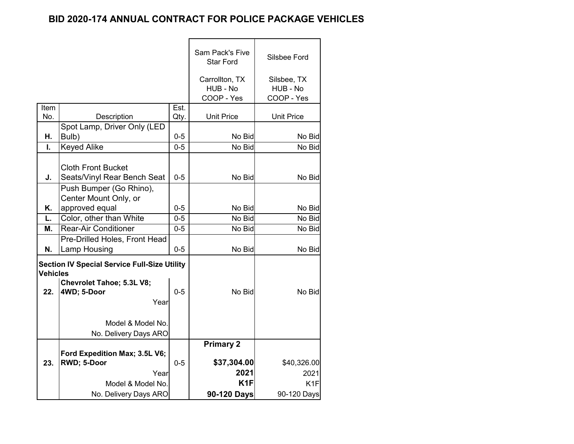|                 |                                                     |         | Sam Pack's Five   | Silsbee Ford      |
|-----------------|-----------------------------------------------------|---------|-------------------|-------------------|
|                 |                                                     |         | <b>Star Ford</b>  |                   |
|                 |                                                     |         | Carrollton, TX    | Silsbee, TX       |
|                 |                                                     |         | HUB - No          | HUB - No          |
|                 |                                                     |         | COOP - Yes        | COOP - Yes        |
| Item            |                                                     | Est.    |                   |                   |
| No.             | Description                                         | Qty.    | <b>Unit Price</b> | <b>Unit Price</b> |
|                 | Spot Lamp, Driver Only (LED                         |         |                   |                   |
| Η.              | Bulb)                                               | $0-5$   | No Bid            | No Bid            |
| $\mathbf{L}$    | <b>Keyed Alike</b>                                  | $0 - 5$ | No Bid            | No Bid            |
|                 |                                                     |         |                   |                   |
|                 | <b>Cloth Front Bucket</b>                           |         |                   |                   |
| J.              | Seats/Vinyl Rear Bench Seat                         | $0 - 5$ | No Bid            | No Bid            |
|                 | Push Bumper (Go Rhino),                             |         |                   |                   |
|                 | Center Mount Only, or                               |         |                   |                   |
| Κ.              | approved equal                                      | $0-5$   | No Bid            | No Bid            |
| L.              | Color, other than White                             | $0-5$   | No Bid            | No Bid            |
| М.              | <b>Rear-Air Conditioner</b>                         | $0 - 5$ | No Bid            | No Bid            |
|                 | Pre-Drilled Holes, Front Head                       |         |                   |                   |
| N.              | Lamp Housing                                        | $0-5$   | No Bid            | No Bid            |
|                 | <b>Section IV Special Service Full-Size Utility</b> |         |                   |                   |
| <b>Vehicles</b> |                                                     |         |                   |                   |
|                 | Chevrolet Tahoe; 5.3L V8;                           |         |                   |                   |
| 22.             | 4WD; 5-Door                                         | $0 - 5$ | No Bid            | No Bid            |
|                 | Year                                                |         |                   |                   |
|                 |                                                     |         |                   |                   |
|                 | Model & Model No.                                   |         |                   |                   |
|                 | No. Delivery Days ARO                               |         |                   |                   |
|                 |                                                     |         | <b>Primary 2</b>  |                   |
|                 | Ford Expedition Max; 3.5L V6;                       |         |                   |                   |
| 23.             | RWD; 5-Door                                         | $0 - 5$ | \$37,304.00       | \$40,326.00       |
|                 | Year                                                |         | 2021              | 2021              |
|                 | Model & Model No.                                   |         | K <sub>1</sub> F  | K <sub>1</sub> F  |
|                 | No. Delivery Days ARO                               |         | 90-120 Days       | 90-120 Days       |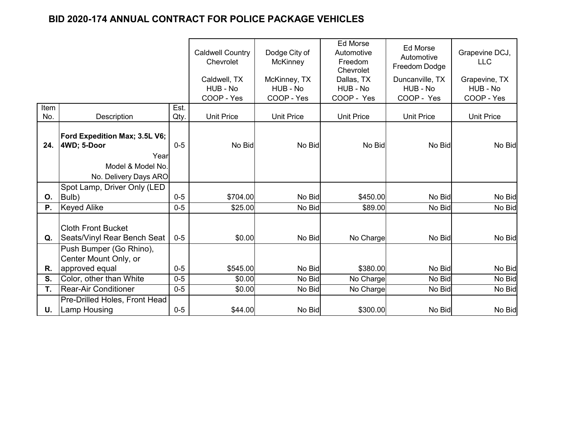|      |                                                          | <b>Caldwell Country</b><br>Chevrolet | Dodge City of<br><b>McKinney</b> | <b>Ed Morse</b><br>Automotive<br>Freedom<br>Chevrolet | <b>Ed Morse</b><br>Automotive<br>Freedom Dodge | Grapevine DCJ,<br><b>LLC</b> |                           |
|------|----------------------------------------------------------|--------------------------------------|----------------------------------|-------------------------------------------------------|------------------------------------------------|------------------------------|---------------------------|
|      |                                                          |                                      | Caldwell, TX<br>HUB - No         | McKinney, TX<br>HUB - No                              | Dallas, TX<br>HUB - No                         | Duncanville, TX<br>HUB - No  | Grapevine, TX<br>HUB - No |
|      |                                                          |                                      | COOP - Yes                       | COOP - Yes                                            | COOP - Yes                                     | COOP - Yes                   | COOP - Yes                |
| Item |                                                          | Est.                                 |                                  |                                                       |                                                | <b>Unit Price</b>            |                           |
| No.  | Description                                              | Qty.                                 | <b>Unit Price</b>                |                                                       | <b>Unit Price</b><br><b>Unit Price</b>         |                              | <b>Unit Price</b>         |
|      | Ford Expedition Max; 3.5L V6;                            |                                      |                                  |                                                       |                                                |                              |                           |
| 24.  | 4WD; 5-Door                                              | $0 - 5$                              | No Bid                           | No Bid                                                | No Bid                                         | No Bid                       | No Bid                    |
|      | Year                                                     |                                      |                                  |                                                       |                                                |                              |                           |
|      | Model & Model No.                                        |                                      |                                  |                                                       |                                                |                              |                           |
|      | No. Delivery Days ARO                                    |                                      |                                  |                                                       |                                                |                              |                           |
|      | Spot Lamp, Driver Only (LED                              |                                      |                                  |                                                       |                                                |                              |                           |
| 0.   | Bulb)                                                    | $0-5$                                | \$704.00                         | No Bid                                                | \$450.00                                       | No Bid                       | No Bid                    |
| Ρ.   | <b>Keyed Alike</b>                                       | $0-5$                                | \$25.00                          | No Bid                                                | \$89.00                                        | No Bid                       | No Bid                    |
| Q.   | <b>Cloth Front Bucket</b><br>Seats/Vinyl Rear Bench Seat | $0 - 5$                              | \$0.00                           | No Bid                                                | No Charge                                      | No Bid                       | No Bid                    |
|      | Push Bumper (Go Rhino),<br>Center Mount Only, or         |                                      |                                  |                                                       |                                                |                              |                           |
| R.   | approved equal                                           | $0 - 5$                              | \$545.00                         | No Bid                                                | \$380.00                                       | No Bid                       | No Bid                    |
| S.   | Color, other than White                                  | $0 - 5$                              | \$0.00                           | No Bid                                                | No Charge                                      | No Bid                       | No Bid                    |
| T.   | <b>Rear-Air Conditioner</b>                              | $0-5$                                | \$0.00                           | No Bid                                                | No Charge                                      | No Bid                       | No Bid                    |
|      | Pre-Drilled Holes, Front Head                            |                                      |                                  |                                                       |                                                |                              |                           |
| U.   | <b>Lamp Housing</b>                                      | $0 - 5$                              | \$44.00                          | No Bid                                                | \$300.00                                       | No Bid                       | No Bid                    |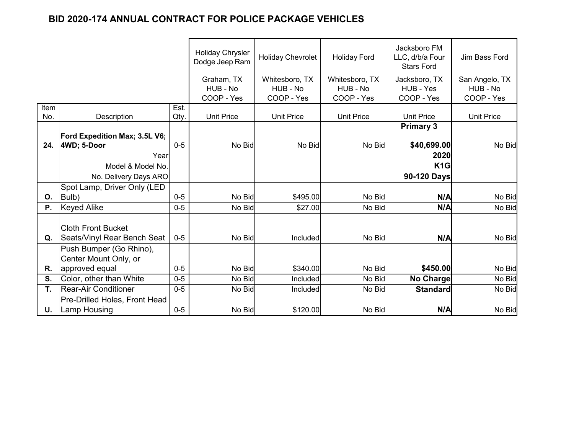|      |                                         |         | <b>Holiday Chrysler</b><br>Dodge Jeep Ram | <b>Holiday Chevrolet</b> | <b>Holiday Ford</b>    | Jacksboro FM<br>LLC, d/b/a Four<br><b>Stars Ford</b> | Jim Bass Ford          |
|------|-----------------------------------------|---------|-------------------------------------------|--------------------------|------------------------|------------------------------------------------------|------------------------|
|      |                                         |         | Graham, TX                                | Whitesboro, TX           | Whitesboro, TX         | Jacksboro, TX                                        | San Angelo, TX         |
|      |                                         |         | HUB - No<br>COOP - Yes                    | HUB - No<br>COOP - Yes   | HUB - No<br>COOP - Yes | HUB - Yes<br>COOP - Yes                              | HUB - No<br>COOP - Yes |
| Item |                                         | Est.    |                                           |                          |                        | <b>Unit Price</b>                                    |                        |
| No.  | Description                             | Qty.    | <b>Unit Price</b>                         | <b>Unit Price</b>        | <b>Unit Price</b>      |                                                      | <b>Unit Price</b>      |
|      | Ford Expedition Max; 3.5L V6;           |         |                                           |                          |                        | <b>Primary 3</b>                                     |                        |
| 24.  | 4WD; 5-Door                             | $0 - 5$ | No Bid                                    | No Bid                   | No Bid                 | \$40,699.00                                          | No Bid                 |
|      | Year                                    |         |                                           |                          |                        | 2020                                                 |                        |
|      | Model & Model No.                       |         |                                           |                          |                        | K <sub>1</sub> G                                     |                        |
|      | No. Delivery Days ARO                   |         |                                           |                          |                        | 90-120 Days                                          |                        |
|      | Spot Lamp, Driver Only (LED             |         |                                           |                          |                        |                                                      |                        |
| 0.   | Bulb)                                   | $0-5$   | No Bid                                    | \$495.00                 | No Bid                 | N/A                                                  | No Bid                 |
| Ρ.   | <b>Keyed Alike</b>                      | $0 - 5$ | No Bid                                    | \$27.00                  | No Bid                 | N/A                                                  | No Bid                 |
|      | <b>Cloth Front Bucket</b>               |         |                                           |                          |                        |                                                      |                        |
| Q.   | Seats/Vinyl Rear Bench Seat             | $0 - 5$ | No Bid                                    | Included                 | No Bid                 | N/A                                                  | No Bid                 |
|      | Push Bumper (Go Rhino),                 |         |                                           |                          |                        |                                                      |                        |
| R.   | Center Mount Only, or<br>approved equal | $0-5$   | No Bid                                    | \$340.00                 | No Bid                 | \$450.00                                             | No Bid                 |
| S.   | Color, other than White                 | $0 - 5$ | No Bid                                    | Included                 | No Bid                 | No Charge                                            | No Bid                 |
| Τ.   | <b>Rear-Air Conditioner</b>             | $0-5$   | No Bid                                    | Included                 | No Bid                 | <b>Standard</b>                                      | No Bid                 |
|      | Pre-Drilled Holes, Front Head           |         |                                           |                          |                        |                                                      |                        |
| U.   | <b>Lamp Housing</b>                     | $0 - 5$ | No Bid                                    | \$120.00                 | No Bid                 | N/A                                                  | No Bid                 |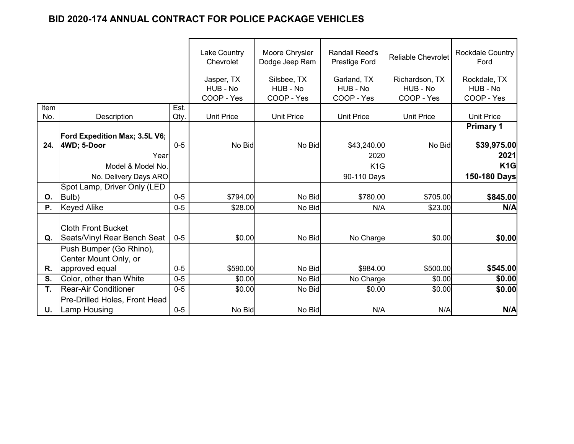|             |                                                                                                    |              | <b>Lake Country</b><br>Chevrolet     | Moore Chrysler<br>Dodge Jeep Ram      | <b>Randall Reed's</b><br>Prestige Ford                 | <b>Reliable Chevrolet</b>                | <b>Rockdale Country</b><br>Ford                                |
|-------------|----------------------------------------------------------------------------------------------------|--------------|--------------------------------------|---------------------------------------|--------------------------------------------------------|------------------------------------------|----------------------------------------------------------------|
|             |                                                                                                    |              | Jasper, TX<br>HUB - No<br>COOP - Yes | Silsbee, TX<br>HUB - No<br>COOP - Yes | Garland, TX<br>HUB - No<br>COOP - Yes                  | Richardson, TX<br>HUB - No<br>COOP - Yes | Rockdale, TX<br>HUB - No<br>COOP - Yes                         |
| Item<br>No. | Description                                                                                        | Est.<br>Qty. | <b>Unit Price</b>                    | <b>Unit Price</b>                     | <b>Unit Price</b>                                      | <b>Unit Price</b>                        | <b>Unit Price</b>                                              |
| 24.         | Ford Expedition Max; 3.5L V6;<br>4WD; 5-Door<br>Year<br>Model & Model No.<br>No. Delivery Days ARO | $0 - 5$      | No Bid                               | No Bid                                | \$43,240.00<br>2020<br>K <sub>1</sub> G<br>90-110 Days | No Bid                                   | <b>Primary 1</b><br>\$39,975.00<br>2021<br>K1G<br>150-180 Days |
|             | Spot Lamp, Driver Only (LED                                                                        |              |                                      |                                       |                                                        |                                          |                                                                |
| 0.          | Bulb)                                                                                              | $0-5$        | \$794.00                             | No Bid                                | \$780.00                                               | \$705.00                                 | \$845.00                                                       |
| Ρ.          | <b>Keyed Alike</b>                                                                                 | $0-5$        | \$28.00                              | No Bid                                | N/A                                                    | \$23.00                                  | N/A                                                            |
| Q.          | <b>Cloth Front Bucket</b><br>Seats/Vinyl Rear Bench Seat                                           | $0 - 5$      | \$0.00                               | No Bid                                | No Charge                                              | \$0.00                                   | \$0.00                                                         |
| R.          | Push Bumper (Go Rhino),<br>Center Mount Only, or<br>approved equal                                 | $0 - 5$      | \$590.00                             | No Bid                                | \$984.00                                               | \$500.00                                 | \$545.00                                                       |
| S.          | Color, other than White                                                                            | $0 - 5$      | \$0.00                               | No Bid                                | No Charge                                              | \$0.00                                   | \$0.00                                                         |
| T.          | <b>Rear-Air Conditioner</b>                                                                        | $0 - 5$      | \$0.00                               | No Bid                                | \$0.00                                                 | \$0.00                                   | \$0.00                                                         |
| U.          | Pre-Drilled Holes, Front Head<br><b>Lamp Housing</b>                                               | $0 - 5$      | No Bid                               | No Bid                                | N/A                                                    | N/A                                      | N/A                                                            |